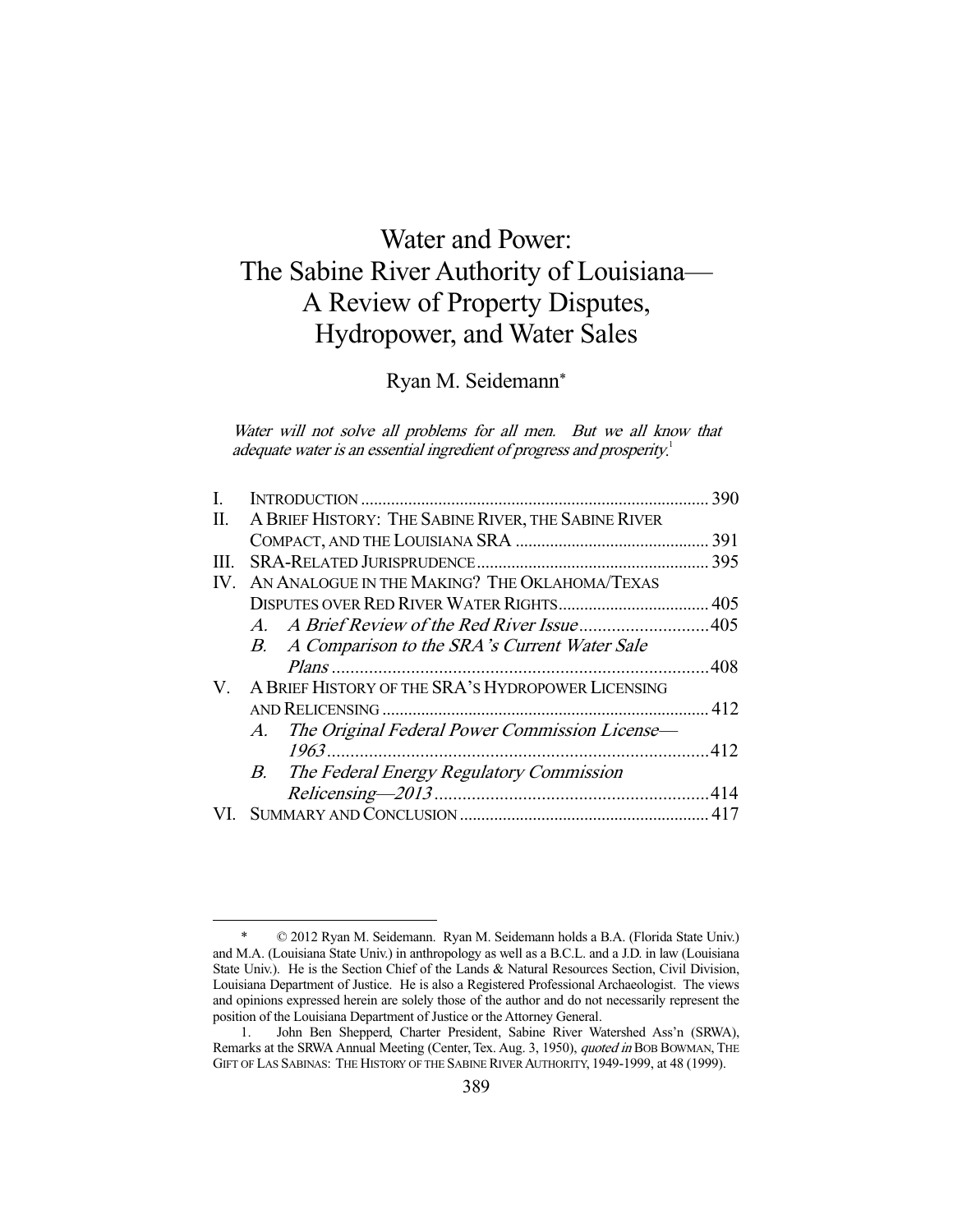# Water and Power: The Sabine River Authority of Louisiana— A Review of Property Disputes, Hydropower, and Water Sales

Ryan M. Seidemann\*

Water will not solve all problems for all men. But we all know that adequate water is an essential ingredient of progress and prosperity.<sup>1</sup>

| L.  |                                                     | 390 |
|-----|-----------------------------------------------------|-----|
| П.  | A BRIEF HISTORY: THE SABINE RIVER, THE SABINE RIVER |     |
|     |                                                     |     |
| Ш.  |                                                     |     |
| IV. | AN ANALOGUE IN THE MAKING? THE OKLAHOMA/TEXAS       |     |
|     |                                                     |     |
|     |                                                     |     |
|     | B. A Comparison to the SRA's Current Water Sale     |     |
|     |                                                     |     |
| V.  | A BRIEF HISTORY OF THE SRA'S HYDROPOWER LICENSING   |     |
|     |                                                     |     |
|     | A. The Original Federal Power Commission License-   |     |
|     |                                                     |     |
|     | B. The Federal Energy Regulatory Commission         |     |
|     |                                                     |     |
|     |                                                     |     |
|     |                                                     |     |

 <sup>\* © 2012</sup> Ryan M. Seidemann. Ryan M. Seidemann holds a B.A. (Florida State Univ.) and M.A. (Louisiana State Univ.) in anthropology as well as a B.C.L. and a J.D. in law (Louisiana State Univ.). He is the Section Chief of the Lands & Natural Resources Section, Civil Division, Louisiana Department of Justice. He is also a Registered Professional Archaeologist. The views and opinions expressed herein are solely those of the author and do not necessarily represent the position of the Louisiana Department of Justice or the Attorney General.

 <sup>1.</sup> John Ben Shepperd, Charter President, Sabine River Watershed Ass'n (SRWA), Remarks at the SRWA Annual Meeting (Center, Tex. Aug. 3, 1950), quoted in BOB BOWMAN, THE GIFT OF LAS SABINAS: THE HISTORY OF THE SABINE RIVER AUTHORITY, 1949-1999, at 48 (1999).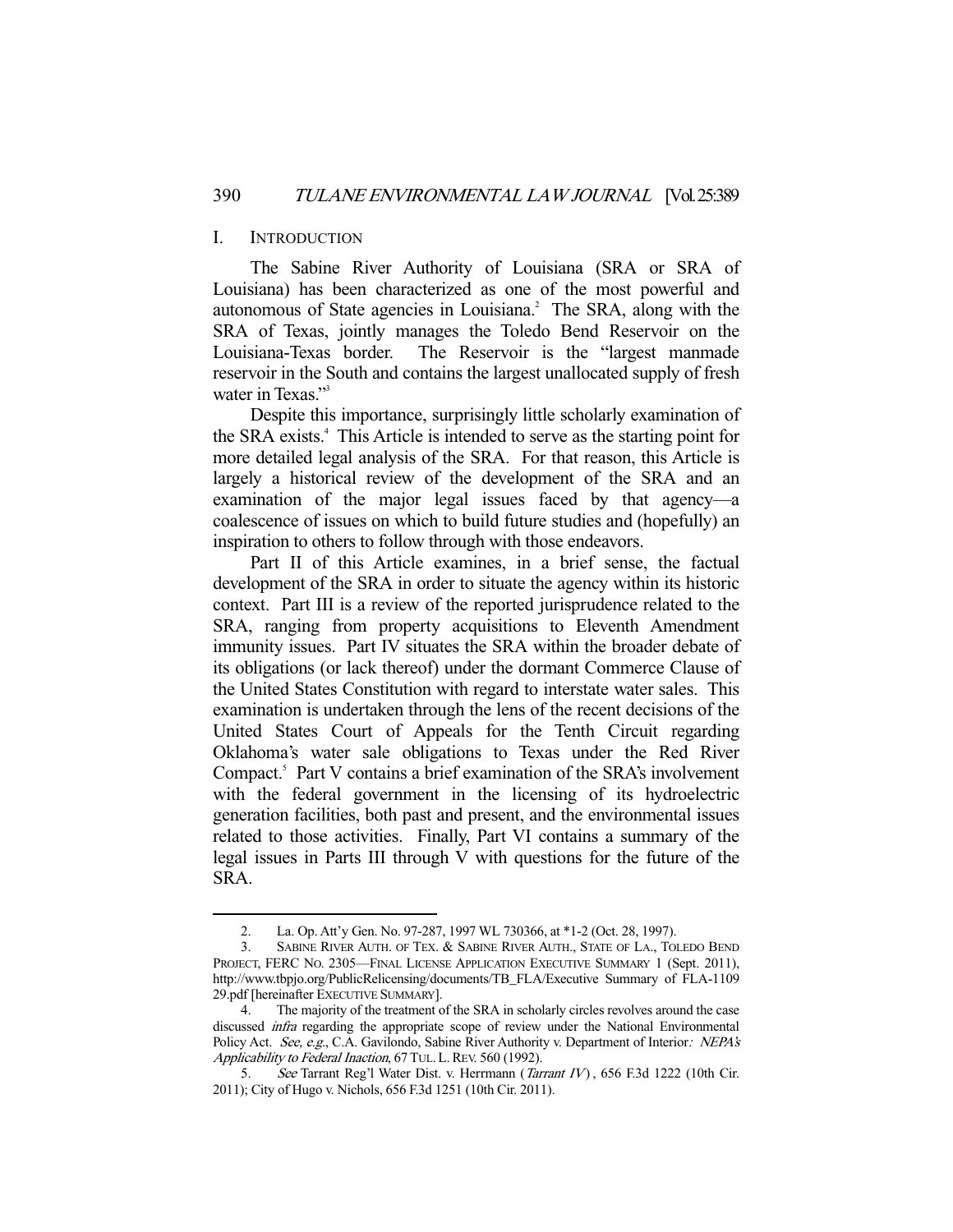#### I. INTRODUCTION

-

 The Sabine River Authority of Louisiana (SRA or SRA of Louisiana) has been characterized as one of the most powerful and autonomous of State agencies in Louisiana. $^2$  The SRA, along with the SRA of Texas, jointly manages the Toledo Bend Reservoir on the Louisiana-Texas border. The Reservoir is the "largest manmade reservoir in the South and contains the largest unallocated supply of fresh water in Texas."<sup>3</sup>

 Despite this importance, surprisingly little scholarly examination of the SRA exists.<sup>4</sup> This Article is intended to serve as the starting point for more detailed legal analysis of the SRA. For that reason, this Article is largely a historical review of the development of the SRA and an examination of the major legal issues faced by that agency—a coalescence of issues on which to build future studies and (hopefully) an inspiration to others to follow through with those endeavors.

 Part II of this Article examines, in a brief sense, the factual development of the SRA in order to situate the agency within its historic context. Part III is a review of the reported jurisprudence related to the SRA, ranging from property acquisitions to Eleventh Amendment immunity issues. Part IV situates the SRA within the broader debate of its obligations (or lack thereof) under the dormant Commerce Clause of the United States Constitution with regard to interstate water sales. This examination is undertaken through the lens of the recent decisions of the United States Court of Appeals for the Tenth Circuit regarding Oklahoma's water sale obligations to Texas under the Red River Compact.<sup>5</sup> Part V contains a brief examination of the SRA's involvement with the federal government in the licensing of its hydroelectric generation facilities, both past and present, and the environmental issues related to those activities. Finally, Part VI contains a summary of the legal issues in Parts III through V with questions for the future of the SRA.

 <sup>2.</sup> La. Op. Att'y Gen. No. 97-287, 1997 WL 730366, at \*1-2 (Oct. 28, 1997).

 <sup>3.</sup> SABINE RIVER AUTH. OF TEX. & SABINE RIVER AUTH., STATE OF LA., TOLEDO BEND PROJECT, FERC NO. 2305—FINAL LICENSE APPLICATION EXECUTIVE SUMMARY 1 (Sept. 2011), http://www.tbpjo.org/PublicRelicensing/documents/TB\_FLA/Executive Summary of FLA-1109 29.pdf [hereinafter EXECUTIVE SUMMARY].

The majority of the treatment of the SRA in scholarly circles revolves around the case discussed infra regarding the appropriate scope of review under the National Environmental Policy Act. See, e.g., C.A. Gavilondo, Sabine River Authority v. Department of Interior: NEPA's Applicability to Federal Inaction, 67 TUL. L. REV. 560 (1992).

<sup>5.</sup> See Tarrant Reg'l Water Dist. v. Herrmann (Tarrant IV), 656 F.3d 1222 (10th Cir. 2011); City of Hugo v. Nichols, 656 F.3d 1251 (10th Cir. 2011).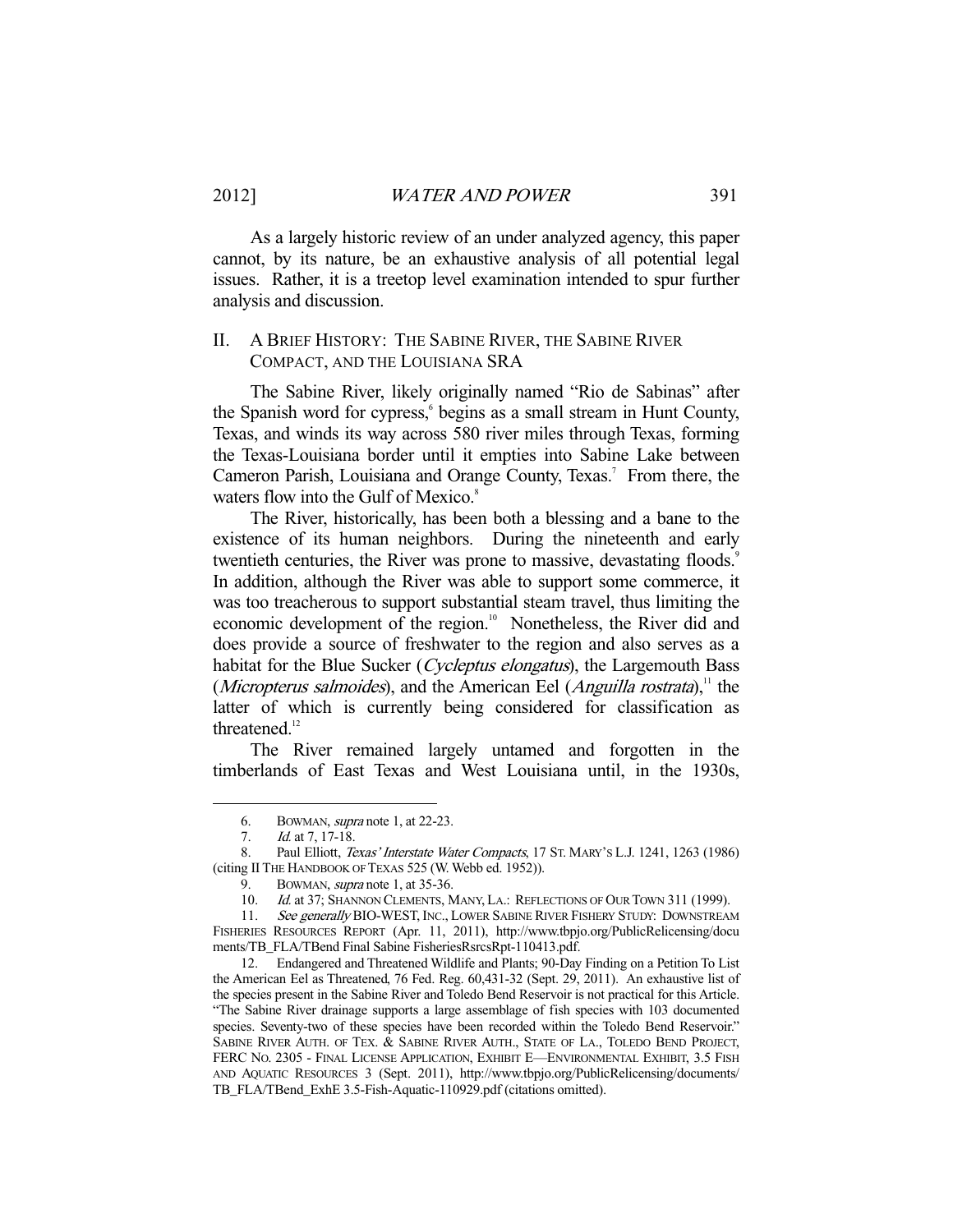As a largely historic review of an under analyzed agency, this paper cannot, by its nature, be an exhaustive analysis of all potential legal issues. Rather, it is a treetop level examination intended to spur further analysis and discussion.

## II. A BRIEF HISTORY: THE SABINE RIVER, THE SABINE RIVER COMPACT, AND THE LOUISIANA SRA

 The Sabine River, likely originally named "Rio de Sabinas" after the Spanish word for cypress, begins as a small stream in Hunt County, Texas, and winds its way across 580 river miles through Texas, forming the Texas-Louisiana border until it empties into Sabine Lake between Cameron Parish, Louisiana and Orange County, Texas.<sup>7</sup> From there, the waters flow into the Gulf of Mexico.<sup>8</sup>

 The River, historically, has been both a blessing and a bane to the existence of its human neighbors. During the nineteenth and early twentieth centuries, the River was prone to massive, devastating floods.<sup>9</sup> In addition, although the River was able to support some commerce, it was too treacherous to support substantial steam travel, thus limiting the economic development of the region.<sup>10</sup> Nonetheless, the River did and does provide a source of freshwater to the region and also serves as a habitat for the Blue Sucker (Cycleptus elongatus), the Largemouth Bass (*Micropterus salmoides*), and the American Eel (*Anguilla rostrata*),<sup>11</sup> the latter of which is currently being considered for classification as threatened.<sup>12</sup>

 The River remained largely untamed and forgotten in the timberlands of East Texas and West Louisiana until, in the 1930s,

-

 12. Endangered and Threatened Wildlife and Plants; 90-Day Finding on a Petition To List the American Eel as Threatened, 76 Fed. Reg. 60,431-32 (Sept. 29, 2011). An exhaustive list of the species present in the Sabine River and Toledo Bend Reservoir is not practical for this Article. "The Sabine River drainage supports a large assemblage of fish species with 103 documented species. Seventy-two of these species have been recorded within the Toledo Bend Reservoir." SABINE RIVER AUTH. OF TEX. & SABINE RIVER AUTH., STATE OF LA., TOLEDO BEND PROJECT, FERC NO. 2305 - FINAL LICENSE APPLICATION, EXHIBIT E—ENVIRONMENTAL EXHIBIT, 3.5 FISH AND AQUATIC RESOURCES 3 (Sept. 2011), http://www.tbpjo.org/PublicRelicensing/documents/ TB\_FLA/TBend\_ExhE 3.5-Fish-Aquatic-110929.pdf (citations omitted).

 <sup>6.</sup> BOWMAN, supra note 1, at 22-23.

<sup>7.</sup> *Id.* at 7, 17-18.

<sup>8.</sup> Paul Elliott, Texas' Interstate Water Compacts, 17 ST. MARY's L.J. 1241, 1263 (1986) (citing II THE HANDBOOK OF TEXAS 525 (W. Webb ed. 1952)).

 <sup>9.</sup> BOWMAN, supra note 1, at 35-36.

<sup>10.</sup> Id. at 37; SHANNON CLEMENTS, MANY, LA.: REFLECTIONS OF OUR TOWN 311 (1999).

<sup>11.</sup> See generally BIO-WEST, INC., LOWER SABINE RIVER FISHERY STUDY: DOWNSTREAM FISHERIES RESOURCES REPORT (Apr. 11, 2011), http://www.tbpjo.org/PublicRelicensing/docu ments/TB\_FLA/TBend Final Sabine FisheriesRsrcsRpt-110413.pdf.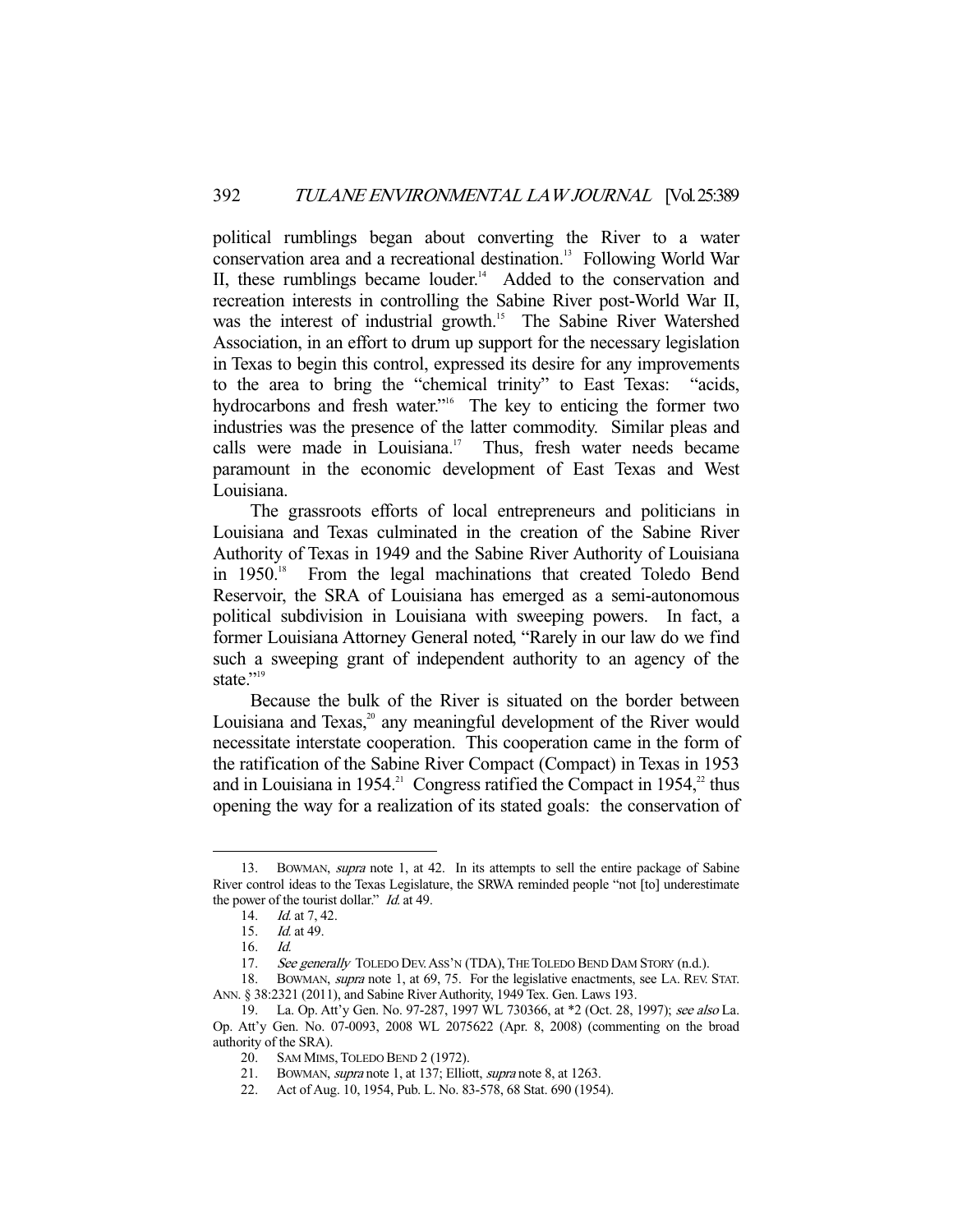political rumblings began about converting the River to a water conservation area and a recreational destination.<sup>13</sup> Following World War II, these rumblings became louder.<sup>14</sup> Added to the conservation and recreation interests in controlling the Sabine River post-World War II, was the interest of industrial growth.<sup>15</sup> The Sabine River Watershed Association, in an effort to drum up support for the necessary legislation in Texas to begin this control, expressed its desire for any improvements to the area to bring the "chemical trinity" to East Texas: "acids, hydrocarbons and fresh water."<sup>16</sup> The key to enticing the former two industries was the presence of the latter commodity. Similar pleas and calls were made in Louisiana.<sup>17</sup> Thus, fresh water needs became paramount in the economic development of East Texas and West Louisiana.

 The grassroots efforts of local entrepreneurs and politicians in Louisiana and Texas culminated in the creation of the Sabine River Authority of Texas in 1949 and the Sabine River Authority of Louisiana in 1950.<sup>18</sup> From the legal machinations that created Toledo Bend Reservoir, the SRA of Louisiana has emerged as a semi-autonomous political subdivision in Louisiana with sweeping powers. In fact, a former Louisiana Attorney General noted, "Rarely in our law do we find such a sweeping grant of independent authority to an agency of the state."<sup>19</sup>

 Because the bulk of the River is situated on the border between Louisiana and Texas,<sup>20</sup> any meaningful development of the River would necessitate interstate cooperation. This cooperation came in the form of the ratification of the Sabine River Compact (Compact) in Texas in 1953 and in Louisiana in 1954.<sup>21</sup> Congress ratified the Compact in 1954,<sup>22</sup> thus opening the way for a realization of its stated goals: the conservation of

<sup>13.</sup> BOWMAN, *supra* note 1, at 42. In its attempts to sell the entire package of Sabine River control ideas to the Texas Legislature, the SRWA reminded people "not [to] underestimate the power of the tourist dollar." *Id.* at 49.

<sup>14.</sup> *Id.* at 7, 42.

 <sup>15.</sup> Id. at 49.

 <sup>16.</sup> Id.

<sup>17.</sup> See generally TOLEDO DEV. ASS'N (TDA), THE TOLEDO BEND DAM STORY (n.d.).

<sup>18.</sup> BOWMAN, *supra* note 1, at 69, 75. For the legislative enactments, see LA. REV. STAT. ANN. § 38:2321 (2011), and Sabine River Authority, 1949 Tex. Gen. Laws 193.

<sup>19.</sup> La. Op. Att'y Gen. No. 97-287, 1997 WL 730366, at \*2 (Oct. 28, 1997); see also La. Op. Att'y Gen. No. 07-0093, 2008 WL 2075622 (Apr. 8, 2008) (commenting on the broad authority of the SRA).

 <sup>20.</sup> SAM MIMS, TOLEDO BEND 2 (1972).

 <sup>21.</sup> BOWMAN, supra note 1, at 137; Elliott, supra note 8, at 1263.

 <sup>22.</sup> Act of Aug. 10, 1954, Pub. L. No. 83-578, 68 Stat. 690 (1954).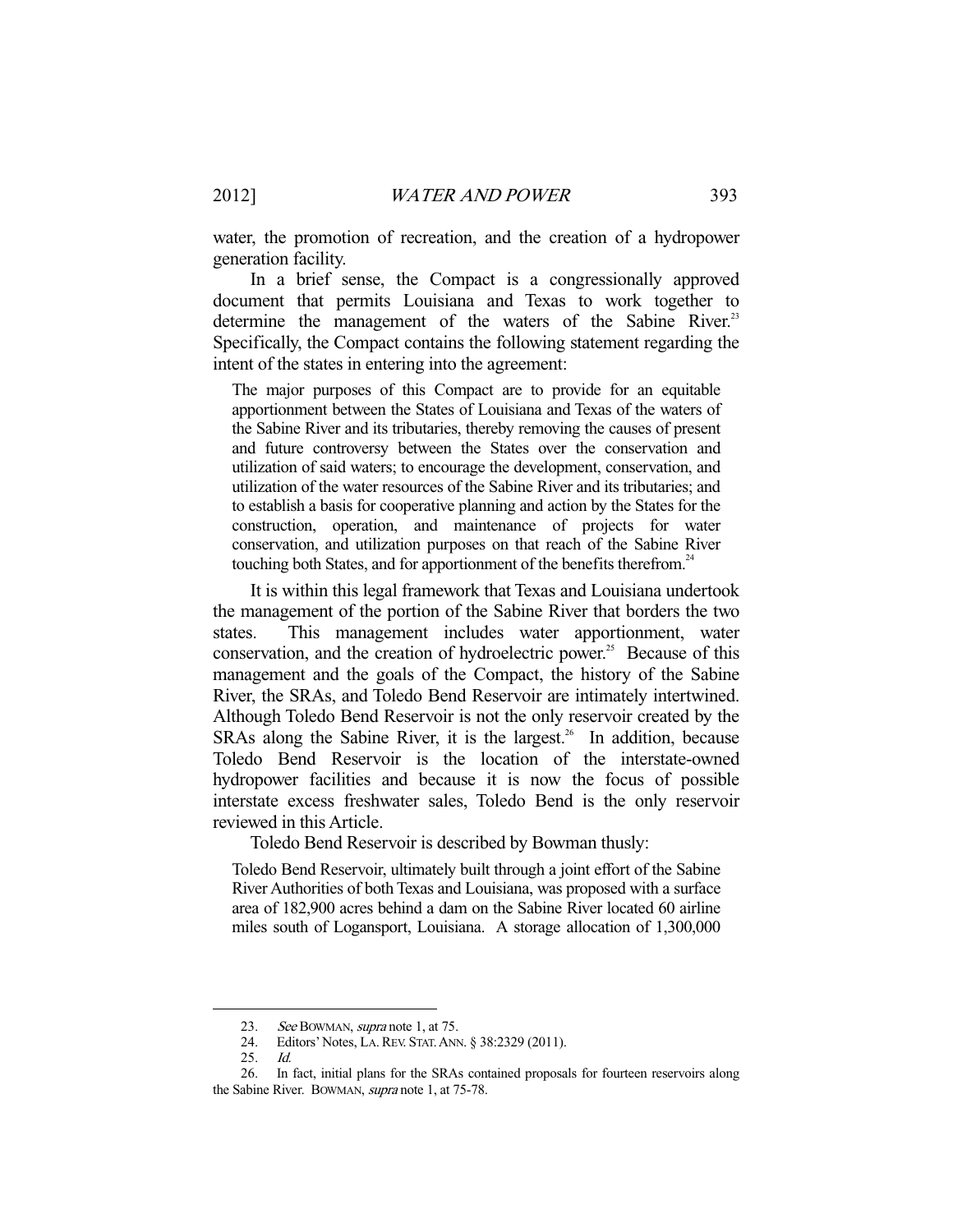water, the promotion of recreation, and the creation of a hydropower generation facility.

 In a brief sense, the Compact is a congressionally approved document that permits Louisiana and Texas to work together to determine the management of the waters of the Sabine River.<sup>23</sup> Specifically, the Compact contains the following statement regarding the intent of the states in entering into the agreement:

The major purposes of this Compact are to provide for an equitable apportionment between the States of Louisiana and Texas of the waters of the Sabine River and its tributaries, thereby removing the causes of present and future controversy between the States over the conservation and utilization of said waters; to encourage the development, conservation, and utilization of the water resources of the Sabine River and its tributaries; and to establish a basis for cooperative planning and action by the States for the construction, operation, and maintenance of projects for water conservation, and utilization purposes on that reach of the Sabine River touching both States, and for apportionment of the benefits therefrom.<sup>24</sup>

 It is within this legal framework that Texas and Louisiana undertook the management of the portion of the Sabine River that borders the two states. This management includes water apportionment, water conservation, and the creation of hydroelectric power.<sup>25</sup> Because of this management and the goals of the Compact, the history of the Sabine River, the SRAs, and Toledo Bend Reservoir are intimately intertwined. Although Toledo Bend Reservoir is not the only reservoir created by the SRAs along the Sabine River, it is the largest.<sup>26</sup> In addition, because Toledo Bend Reservoir is the location of the interstate-owned hydropower facilities and because it is now the focus of possible interstate excess freshwater sales, Toledo Bend is the only reservoir reviewed in this Article.

Toledo Bend Reservoir is described by Bowman thusly:

Toledo Bend Reservoir, ultimately built through a joint effort of the Sabine River Authorities of both Texas and Louisiana, was proposed with a surface area of 182,900 acres behind a dam on the Sabine River located 60 airline miles south of Logansport, Louisiana. A storage allocation of 1,300,000

<sup>23.</sup> See BOWMAN, supra note 1, at 75.<br>24. Editors' Notes, LA. REV. STAT. AND

Editors' Notes, LA. REV. STAT. ANN. § 38:2329 (2011).

 <sup>25.</sup> Id.

 <sup>26.</sup> In fact, initial plans for the SRAs contained proposals for fourteen reservoirs along the Sabine River. BOWMAN, supra note 1, at 75-78.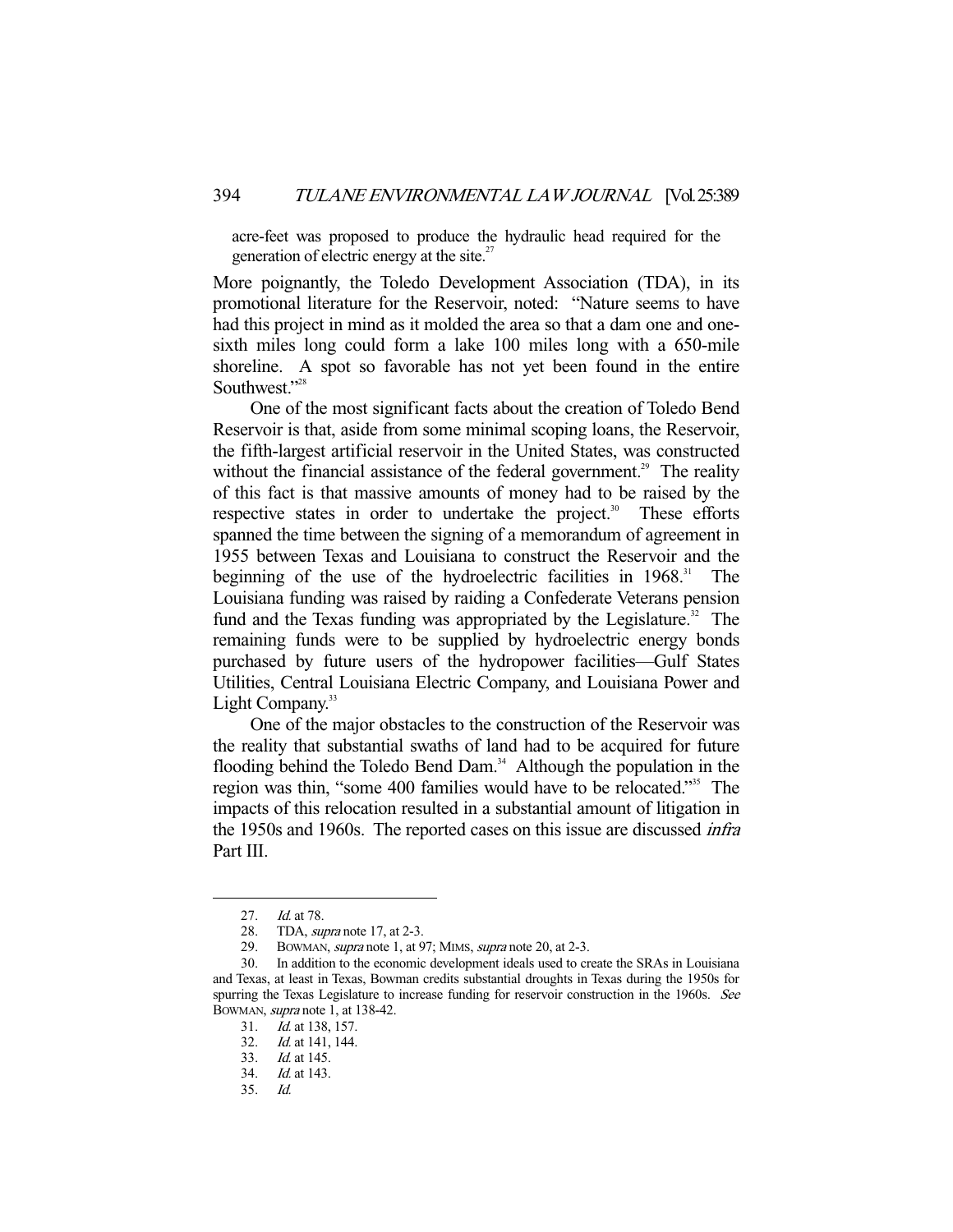acre-feet was proposed to produce the hydraulic head required for the generation of electric energy at the site. $^{27}$ 

More poignantly, the Toledo Development Association (TDA), in its promotional literature for the Reservoir, noted: "Nature seems to have had this project in mind as it molded the area so that a dam one and onesixth miles long could form a lake 100 miles long with a 650-mile shoreline. A spot so favorable has not yet been found in the entire Southwest."<sup>28</sup>

 One of the most significant facts about the creation of Toledo Bend Reservoir is that, aside from some minimal scoping loans, the Reservoir, the fifth-largest artificial reservoir in the United States, was constructed without the financial assistance of the federal government.<sup>29</sup> The reality of this fact is that massive amounts of money had to be raised by the respective states in order to undertake the project.<sup>30</sup> These efforts spanned the time between the signing of a memorandum of agreement in 1955 between Texas and Louisiana to construct the Reservoir and the beginning of the use of the hydroelectric facilities in  $1968$ <sup>31</sup>. The Louisiana funding was raised by raiding a Confederate Veterans pension fund and the Texas funding was appropriated by the Legislature.<sup>32</sup> The remaining funds were to be supplied by hydroelectric energy bonds purchased by future users of the hydropower facilities—Gulf States Utilities, Central Louisiana Electric Company, and Louisiana Power and Light Company.<sup>33</sup>

 One of the major obstacles to the construction of the Reservoir was the reality that substantial swaths of land had to be acquired for future flooding behind the Toledo Bend Dam.<sup>34</sup> Although the population in the region was thin, "some 400 families would have to be relocated."35 The impacts of this relocation resulted in a substantial amount of litigation in the 1950s and 1960s. The reported cases on this issue are discussed infra Part III.

<sup>27.</sup> *Id.* at 78.

 <sup>28.</sup> TDA, supra note 17, at 2-3.

<sup>29.</sup> BOWMAN, *supra* note 1, at 97; MIMS, *supra* note 20, at 2-3.

 <sup>30.</sup> In addition to the economic development ideals used to create the SRAs in Louisiana and Texas, at least in Texas, Bowman credits substantial droughts in Texas during the 1950s for spurring the Texas Legislature to increase funding for reservoir construction in the 1960s. See BOWMAN, supra note 1, at 138-42.

 <sup>31.</sup> Id. at 138, 157.

 <sup>32.</sup> Id. at 141, 144.

 <sup>33.</sup> Id. at 145.

 <sup>34.</sup> Id. at 143.

 <sup>35.</sup> Id.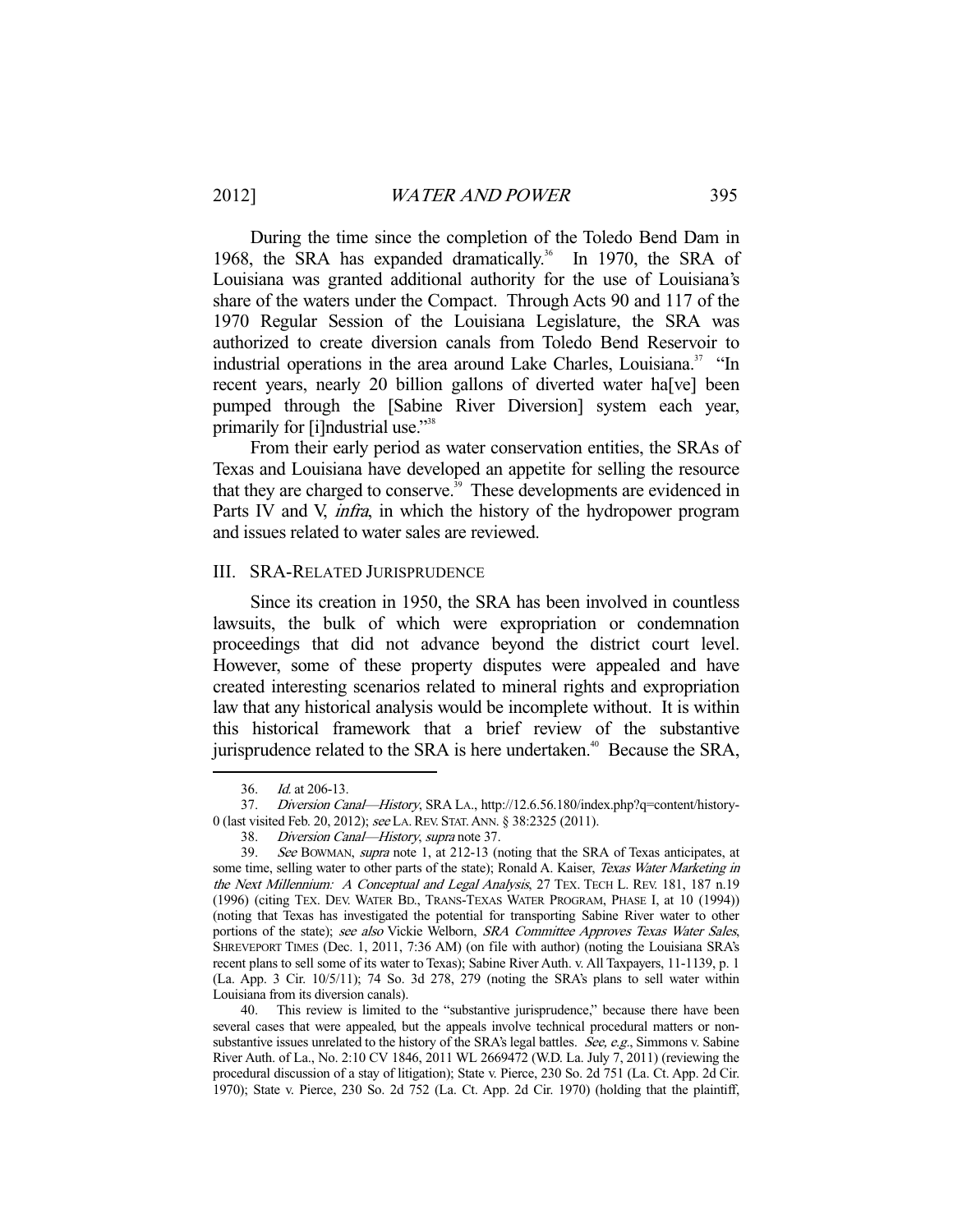During the time since the completion of the Toledo Bend Dam in 1968, the SRA has expanded dramatically.<sup>36</sup> In 1970, the SRA of Louisiana was granted additional authority for the use of Louisiana's share of the waters under the Compact. Through Acts 90 and 117 of the 1970 Regular Session of the Louisiana Legislature, the SRA was authorized to create diversion canals from Toledo Bend Reservoir to industrial operations in the area around Lake Charles, Louisiana.<sup>37</sup> "In recent years, nearly 20 billion gallons of diverted water ha[ve] been pumped through the [Sabine River Diversion] system each year, primarily for [i]ndustrial use."<sup>38</sup>

 From their early period as water conservation entities, the SRAs of Texas and Louisiana have developed an appetite for selling the resource that they are charged to conserve.<sup>39</sup> These developments are evidenced in Parts IV and V, *infra*, in which the history of the hydropower program and issues related to water sales are reviewed.

#### III. SRA-RELATED JURISPRUDENCE

 Since its creation in 1950, the SRA has been involved in countless lawsuits, the bulk of which were expropriation or condemnation proceedings that did not advance beyond the district court level. However, some of these property disputes were appealed and have created interesting scenarios related to mineral rights and expropriation law that any historical analysis would be incomplete without. It is within this historical framework that a brief review of the substantive jurisprudence related to the SRA is here undertaken.<sup>40</sup> Because the SRA,

<sup>36.</sup> *Id.* at 206-13.

 <sup>37.</sup> Diversion Canal—History, SRA LA., http://12.6.56.180/index.php?q=content/history-0 (last visited Feb. 20, 2012); see LA.REV. STAT.ANN. § 38:2325 (2011).

 <sup>38.</sup> Diversion Canal—History, supra note 37.

 <sup>39.</sup> See BOWMAN, supra note 1, at 212-13 (noting that the SRA of Texas anticipates, at some time, selling water to other parts of the state); Ronald A. Kaiser, Texas Water Marketing in the Next Millennium: A Conceptual and Legal Analysis, 27 TEX. TECH L. REV. 181, 187 n.19 (1996) (citing TEX. DEV. WATER BD., TRANS-TEXAS WATER PROGRAM, PHASE I, at 10 (1994)) (noting that Texas has investigated the potential for transporting Sabine River water to other portions of the state); see also Vickie Welborn, SRA Committee Approves Texas Water Sales, SHREVEPORT TIMES (Dec. 1, 2011, 7:36 AM) (on file with author) (noting the Louisiana SRA's recent plans to sell some of its water to Texas); Sabine River Auth. v. All Taxpayers, 11-1139, p. 1 (La. App. 3 Cir. 10/5/11); 74 So. 3d 278, 279 (noting the SRA's plans to sell water within Louisiana from its diversion canals).

 <sup>40.</sup> This review is limited to the "substantive jurisprudence," because there have been several cases that were appealed, but the appeals involve technical procedural matters or nonsubstantive issues unrelated to the history of the SRA's legal battles. See, e.g., Simmons v. Sabine River Auth. of La., No. 2:10 CV 1846, 2011 WL 2669472 (W.D. La. July 7, 2011) (reviewing the procedural discussion of a stay of litigation); State v. Pierce, 230 So. 2d 751 (La. Ct. App. 2d Cir. 1970); State v. Pierce, 230 So. 2d 752 (La. Ct. App. 2d Cir. 1970) (holding that the plaintiff,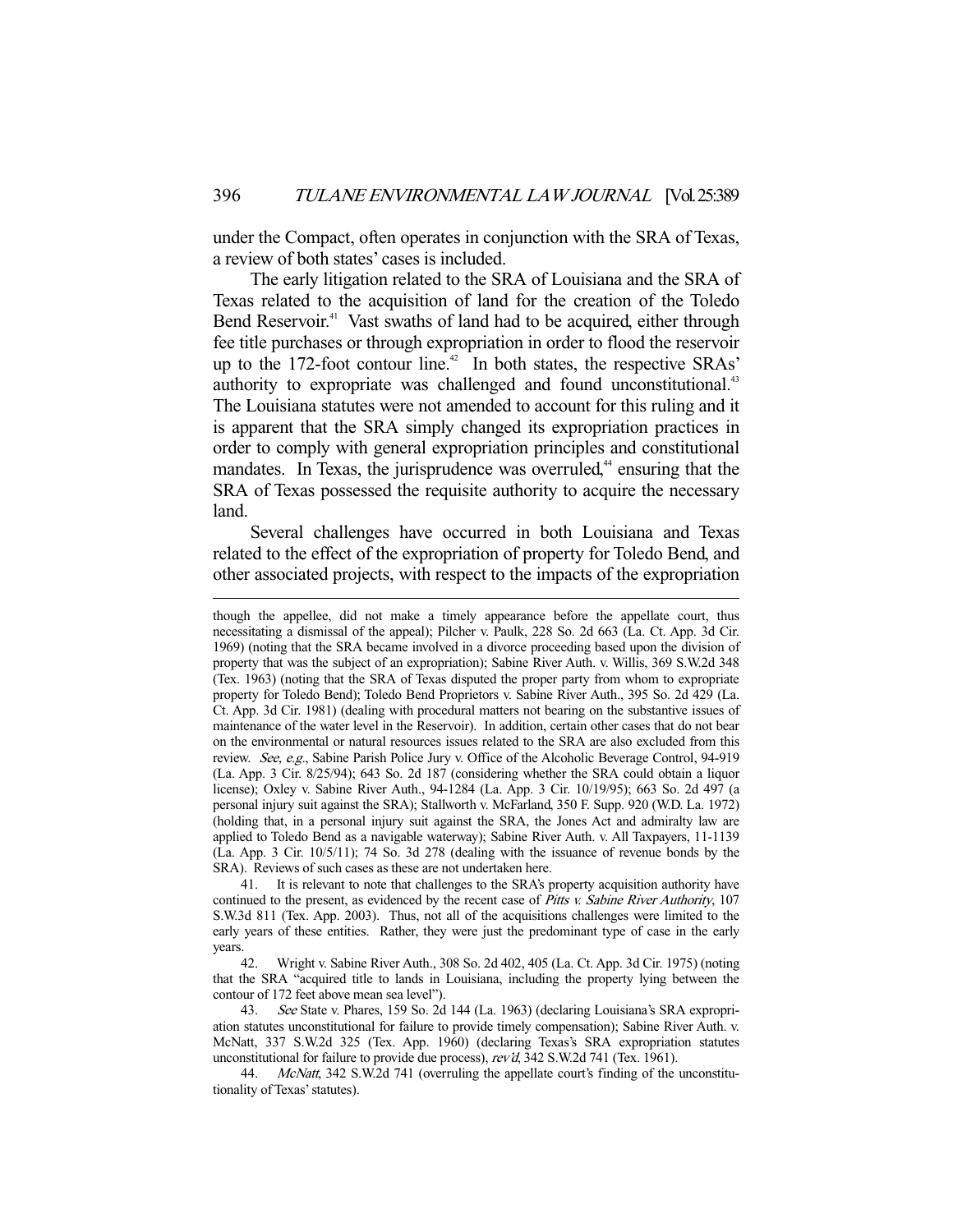under the Compact, often operates in conjunction with the SRA of Texas, a review of both states' cases is included.

 The early litigation related to the SRA of Louisiana and the SRA of Texas related to the acquisition of land for the creation of the Toledo Bend Reservoir.<sup>41</sup> Vast swaths of land had to be acquired, either through fee title purchases or through expropriation in order to flood the reservoir up to the 172-foot contour line.<sup>42</sup> In both states, the respective SRAs' authority to expropriate was challenged and found unconstitutional.<sup>43</sup> The Louisiana statutes were not amended to account for this ruling and it is apparent that the SRA simply changed its expropriation practices in order to comply with general expropriation principles and constitutional mandates. In Texas, the jurisprudence was overruled,<sup>44</sup> ensuring that the SRA of Texas possessed the requisite authority to acquire the necessary land.

 Several challenges have occurred in both Louisiana and Texas related to the effect of the expropriation of property for Toledo Bend, and other associated projects, with respect to the impacts of the expropriation

-

 41. It is relevant to note that challenges to the SRA's property acquisition authority have continued to the present, as evidenced by the recent case of Pitts v. Sabine River Authority, 107 S.W.3d 811 (Tex. App. 2003). Thus, not all of the acquisitions challenges were limited to the early years of these entities. Rather, they were just the predominant type of case in the early years.

 42. Wright v. Sabine River Auth., 308 So. 2d 402, 405 (La. Ct. App. 3d Cir. 1975) (noting that the SRA "acquired title to lands in Louisiana, including the property lying between the contour of 172 feet above mean sea level").

 43. See State v. Phares, 159 So. 2d 144 (La. 1963) (declaring Louisiana's SRA expropriation statutes unconstitutional for failure to provide timely compensation); Sabine River Auth. v. McNatt, 337 S.W.2d 325 (Tex. App. 1960) (declaring Texas's SRA expropriation statutes unconstitutional for failure to provide due process), rev'd, 342 S.W.2d 741 (Tex. 1961).

44. McNatt, 342 S.W.2d 741 (overruling the appellate court's finding of the unconstitutionality of Texas' statutes).

though the appellee, did not make a timely appearance before the appellate court, thus necessitating a dismissal of the appeal); Pilcher v. Paulk, 228 So. 2d 663 (La. Ct. App. 3d Cir. 1969) (noting that the SRA became involved in a divorce proceeding based upon the division of property that was the subject of an expropriation); Sabine River Auth. v. Willis, 369 S.W.2d 348 (Tex. 1963) (noting that the SRA of Texas disputed the proper party from whom to expropriate property for Toledo Bend); Toledo Bend Proprietors v. Sabine River Auth., 395 So. 2d 429 (La. Ct. App. 3d Cir. 1981) (dealing with procedural matters not bearing on the substantive issues of maintenance of the water level in the Reservoir). In addition, certain other cases that do not bear on the environmental or natural resources issues related to the SRA are also excluded from this review. See, e.g., Sabine Parish Police Jury v. Office of the Alcoholic Beverage Control, 94-919 (La. App. 3 Cir. 8/25/94); 643 So. 2d 187 (considering whether the SRA could obtain a liquor license); Oxley v. Sabine River Auth., 94-1284 (La. App. 3 Cir. 10/19/95); 663 So. 2d 497 (a personal injury suit against the SRA); Stallworth v. McFarland, 350 F. Supp. 920 (W.D. La. 1972) (holding that, in a personal injury suit against the SRA, the Jones Act and admiralty law are applied to Toledo Bend as a navigable waterway); Sabine River Auth. v. All Taxpayers, 11-1139 (La. App. 3 Cir. 10/5/11); 74 So. 3d 278 (dealing with the issuance of revenue bonds by the SRA). Reviews of such cases as these are not undertaken here.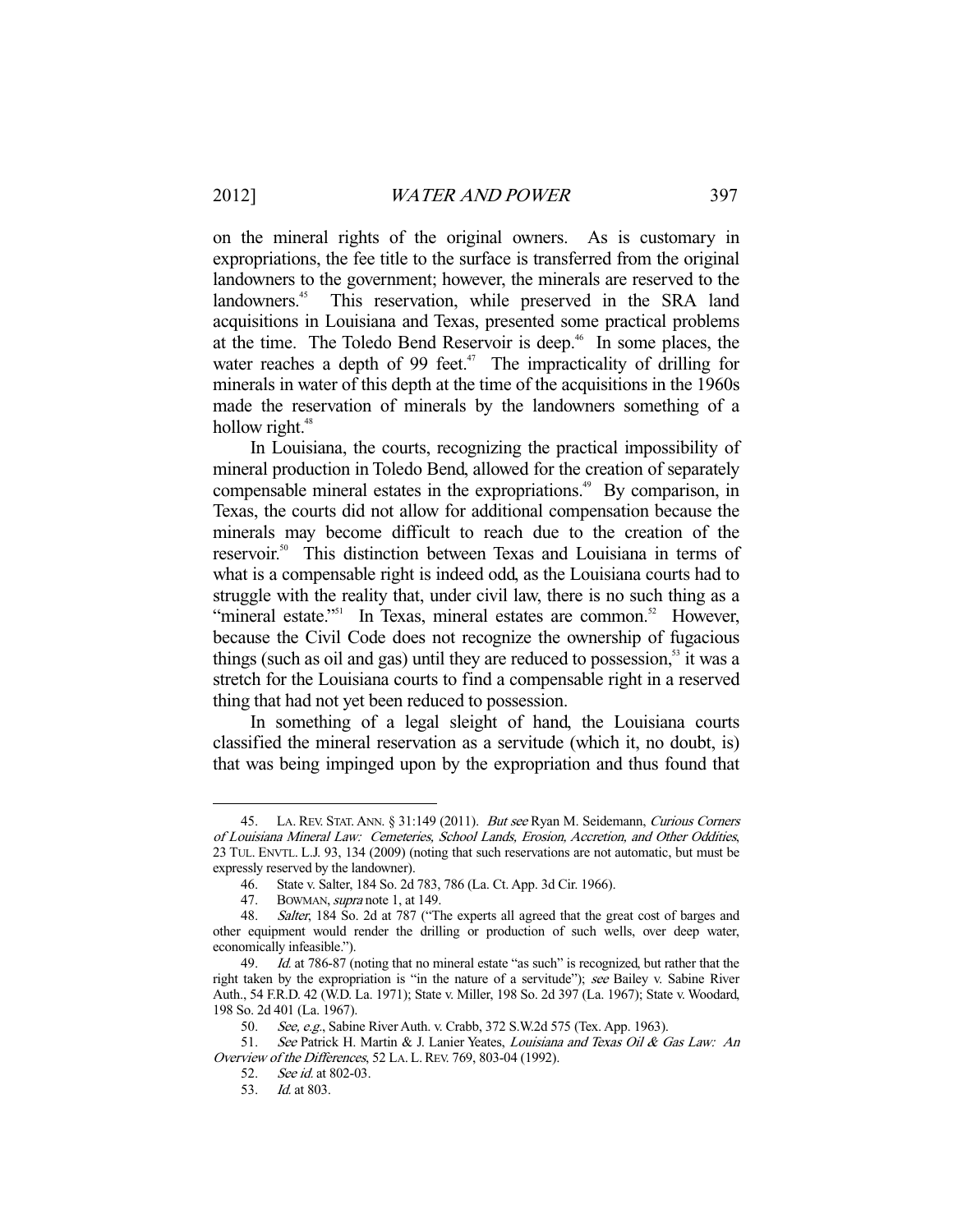on the mineral rights of the original owners. As is customary in expropriations, the fee title to the surface is transferred from the original landowners to the government; however, the minerals are reserved to the landowners.<sup>45</sup> This reservation, while preserved in the SRA land acquisitions in Louisiana and Texas, presented some practical problems at the time. The Toledo Bend Reservoir is deep.<sup>46</sup> In some places, the water reaches a depth of 99 feet.<sup> $47$ </sup> The impracticality of drilling for minerals in water of this depth at the time of the acquisitions in the 1960s made the reservation of minerals by the landowners something of a hollow right. $48$ 

 In Louisiana, the courts, recognizing the practical impossibility of mineral production in Toledo Bend, allowed for the creation of separately compensable mineral estates in the expropriations.<sup>49</sup> By comparison, in Texas, the courts did not allow for additional compensation because the minerals may become difficult to reach due to the creation of the reservoir.<sup>50</sup> This distinction between Texas and Louisiana in terms of what is a compensable right is indeed odd, as the Louisiana courts had to struggle with the reality that, under civil law, there is no such thing as a "mineral estate."<sup>51</sup> In Texas, mineral estates are common.<sup>52</sup> However, because the Civil Code does not recognize the ownership of fugacious things (such as oil and gas) until they are reduced to possession, $53$  it was a stretch for the Louisiana courts to find a compensable right in a reserved thing that had not yet been reduced to possession.

 In something of a legal sleight of hand, the Louisiana courts classified the mineral reservation as a servitude (which it, no doubt, is) that was being impinged upon by the expropriation and thus found that

<sup>45.</sup> LA. REV. STAT. ANN. § 31:149 (2011). But see Ryan M. Seidemann, Curious Corners of Louisiana Mineral Law: Cemeteries, School Lands, Erosion, Accretion, and Other Oddities, 23 TUL. ENVTL. L.J. 93, 134 (2009) (noting that such reservations are not automatic, but must be expressly reserved by the landowner).

 <sup>46.</sup> State v. Salter, 184 So. 2d 783, 786 (La. Ct. App. 3d Cir. 1966).

<sup>47.</sup> BOWMAN, *supra* note 1, at 149.

 <sup>48.</sup> Salter, 184 So. 2d at 787 ("The experts all agreed that the great cost of barges and other equipment would render the drilling or production of such wells, over deep water, economically infeasible.").

<sup>49.</sup> Id. at 786-87 (noting that no mineral estate "as such" is recognized, but rather that the right taken by the expropriation is "in the nature of a servitude"); see Bailey v. Sabine River Auth., 54 F.R.D. 42 (W.D. La. 1971); State v. Miller, 198 So. 2d 397 (La. 1967); State v. Woodard, 198 So. 2d 401 (La. 1967).

<sup>50.</sup> See, e.g., Sabine River Auth. v. Crabb, 372 S.W.2d 575 (Tex. App. 1963).

<sup>51.</sup> See Patrick H. Martin & J. Lanier Yeates, Louisiana and Texas Oil & Gas Law: An Overview of the Differences, 52 LA. L. REV. 769, 803-04 (1992).

 <sup>52.</sup> See id. at 802-03.

 <sup>53.</sup> Id. at 803.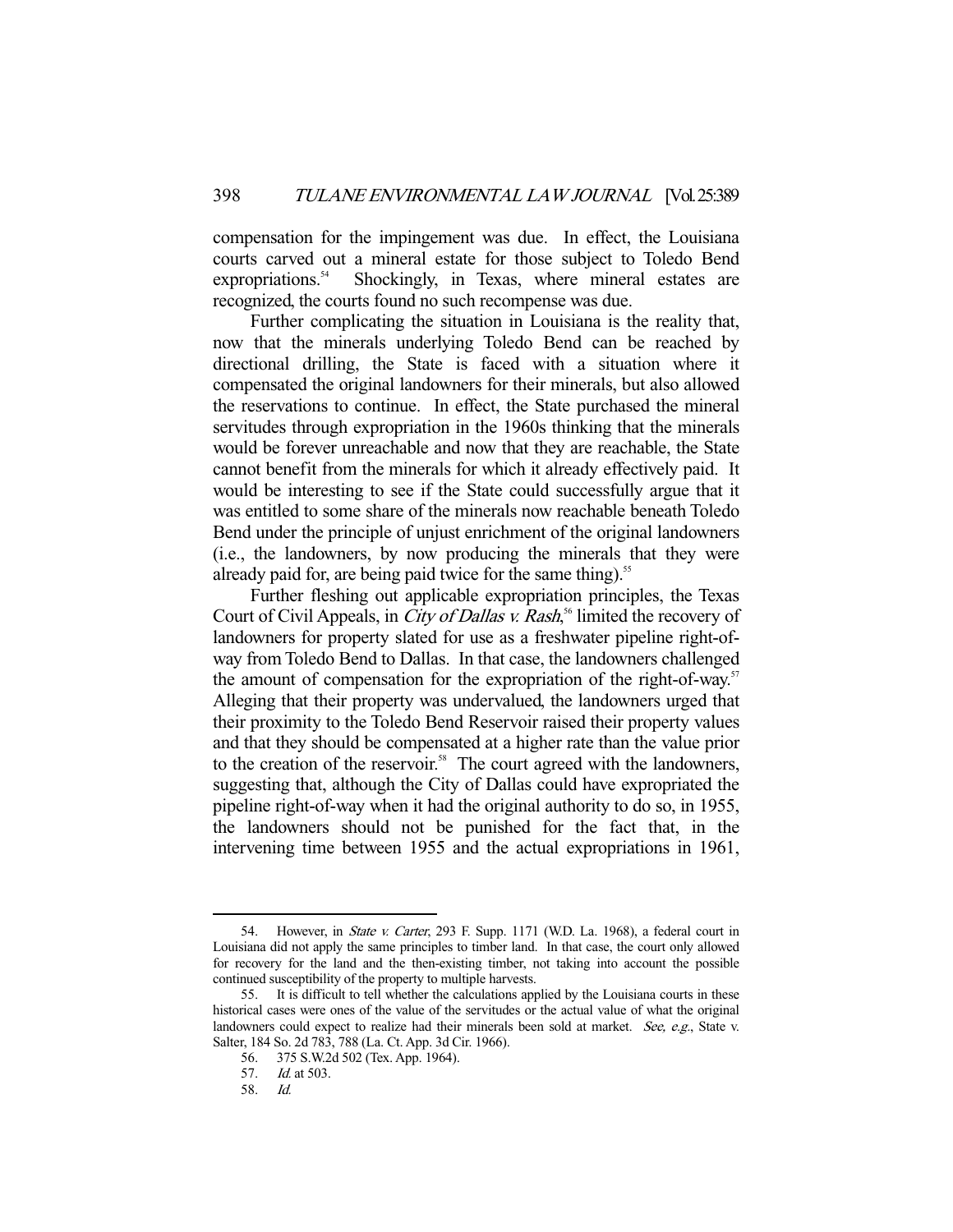compensation for the impingement was due. In effect, the Louisiana courts carved out a mineral estate for those subject to Toledo Bend expropriations.<sup>54</sup> Shockingly, in Texas, where mineral estates are recognized, the courts found no such recompense was due.

 Further complicating the situation in Louisiana is the reality that, now that the minerals underlying Toledo Bend can be reached by directional drilling, the State is faced with a situation where it compensated the original landowners for their minerals, but also allowed the reservations to continue. In effect, the State purchased the mineral servitudes through expropriation in the 1960s thinking that the minerals would be forever unreachable and now that they are reachable, the State cannot benefit from the minerals for which it already effectively paid. It would be interesting to see if the State could successfully argue that it was entitled to some share of the minerals now reachable beneath Toledo Bend under the principle of unjust enrichment of the original landowners (i.e., the landowners, by now producing the minerals that they were already paid for, are being paid twice for the same thing).<sup>55</sup>

 Further fleshing out applicable expropriation principles, the Texas Court of Civil Appeals, in *City of Dallas v. Rash*,<sup>56</sup> limited the recovery of landowners for property slated for use as a freshwater pipeline right-ofway from Toledo Bend to Dallas. In that case, the landowners challenged the amount of compensation for the expropriation of the right-of-way.<sup>57</sup> Alleging that their property was undervalued, the landowners urged that their proximity to the Toledo Bend Reservoir raised their property values and that they should be compensated at a higher rate than the value prior to the creation of the reservoir.<sup>58</sup> The court agreed with the landowners, suggesting that, although the City of Dallas could have expropriated the pipeline right-of-way when it had the original authority to do so, in 1955, the landowners should not be punished for the fact that, in the intervening time between 1955 and the actual expropriations in 1961,

<sup>54.</sup> However, in State v. Carter, 293 F. Supp. 1171 (W.D. La. 1968), a federal court in Louisiana did not apply the same principles to timber land. In that case, the court only allowed for recovery for the land and the then-existing timber, not taking into account the possible continued susceptibility of the property to multiple harvests.

 <sup>55.</sup> It is difficult to tell whether the calculations applied by the Louisiana courts in these historical cases were ones of the value of the servitudes or the actual value of what the original landowners could expect to realize had their minerals been sold at market. See, e.g., State v. Salter, 184 So. 2d 783, 788 (La. Ct. App. 3d Cir. 1966).

 <sup>56. 375</sup> S.W.2d 502 (Tex. App. 1964).

<sup>57.</sup> *Id.* at 503.<br>58. *Id.* 

 $Id.$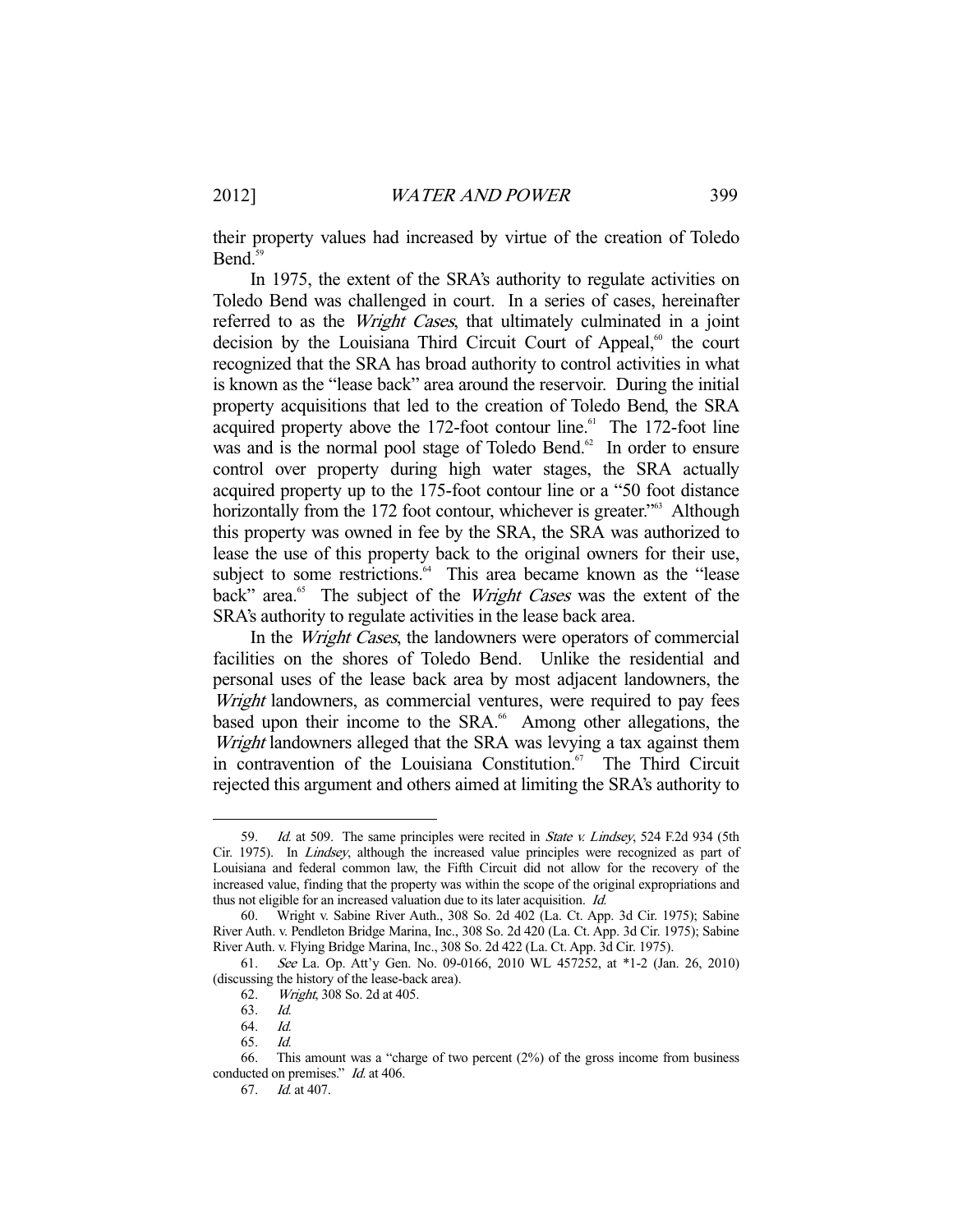their property values had increased by virtue of the creation of Toledo Bend.<sup>59</sup>

 In 1975, the extent of the SRA's authority to regulate activities on Toledo Bend was challenged in court. In a series of cases, hereinafter referred to as the *Wright Cases*, that ultimately culminated in a joint decision by the Louisiana Third Circuit Court of Appeal, $60$  the court recognized that the SRA has broad authority to control activities in what is known as the "lease back" area around the reservoir. During the initial property acquisitions that led to the creation of Toledo Bend, the SRA acquired property above the 172-foot contour line.<sup>61</sup> The 172-foot line was and is the normal pool stage of Toledo Bend.<sup>62</sup> In order to ensure control over property during high water stages, the SRA actually acquired property up to the 175-foot contour line or a "50 foot distance horizontally from the 172 foot contour, whichever is greater."<sup>63</sup> Although this property was owned in fee by the SRA, the SRA was authorized to lease the use of this property back to the original owners for their use, subject to some restrictions.<sup>64</sup> This area became known as the "lease" back" area.<sup>65</sup> The subject of the *Wright Cases* was the extent of the SRA's authority to regulate activities in the lease back area.

In the *Wright Cases*, the landowners were operators of commercial facilities on the shores of Toledo Bend. Unlike the residential and personal uses of the lease back area by most adjacent landowners, the Wright landowners, as commercial ventures, were required to pay fees based upon their income to the SRA.<sup>66</sup> Among other allegations, the Wright landowners alleged that the SRA was levying a tax against them in contravention of the Louisiana Constitution.<sup>67</sup> The Third Circuit rejected this argument and others aimed at limiting the SRA's authority to

<sup>59.</sup> Id. at 509. The same principles were recited in State v. Lindsey, 524 F.2d 934 (5th Cir. 1975). In Lindsey, although the increased value principles were recognized as part of Louisiana and federal common law, the Fifth Circuit did not allow for the recovery of the increased value, finding that the property was within the scope of the original expropriations and thus not eligible for an increased valuation due to its later acquisition. Id.

 <sup>60.</sup> Wright v. Sabine River Auth., 308 So. 2d 402 (La. Ct. App. 3d Cir. 1975); Sabine River Auth. v. Pendleton Bridge Marina, Inc., 308 So. 2d 420 (La. Ct. App. 3d Cir. 1975); Sabine River Auth. v. Flying Bridge Marina, Inc., 308 So. 2d 422 (La. Ct. App. 3d Cir. 1975).

 <sup>61.</sup> See La. Op. Att'y Gen. No. 09-0166, 2010 WL 457252, at \*1-2 (Jan. 26, 2010) (discussing the history of the lease-back area).

 <sup>62.</sup> Wright, 308 So. 2d at 405.

 <sup>63.</sup> Id.

 <sup>64.</sup> Id.

 <sup>65.</sup> Id.

 <sup>66.</sup> This amount was a "charge of two percent (2%) of the gross income from business conducted on premises." *Id.* at 406.

 <sup>67.</sup> Id. at 407.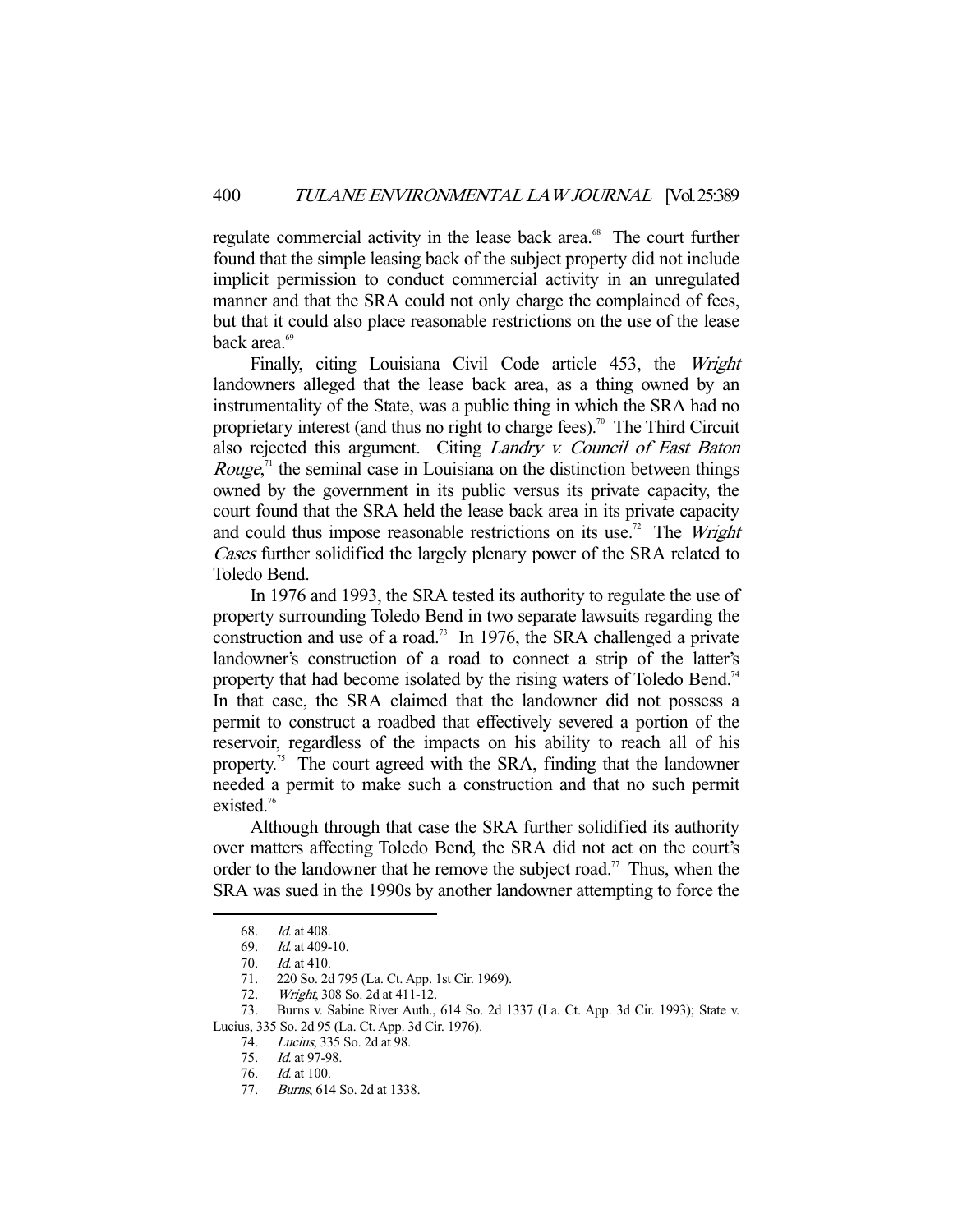regulate commercial activity in the lease back area.<sup>68</sup> The court further found that the simple leasing back of the subject property did not include implicit permission to conduct commercial activity in an unregulated manner and that the SRA could not only charge the complained of fees, but that it could also place reasonable restrictions on the use of the lease back area.<sup>69</sup>

 Finally, citing Louisiana Civil Code article 453, the Wright landowners alleged that the lease back area, as a thing owned by an instrumentality of the State, was a public thing in which the SRA had no proprietary interest (and thus no right to charge fees).<sup>70</sup> The Third Circuit also rejected this argument. Citing Landry v. Council of East Baton *Rouge*,<sup> $\pi$ </sup> the seminal case in Louisiana on the distinction between things owned by the government in its public versus its private capacity, the court found that the SRA held the lease back area in its private capacity and could thus impose reasonable restrictions on its use.<sup>72</sup> The *Wright* Cases further solidified the largely plenary power of the SRA related to Toledo Bend.

 In 1976 and 1993, the SRA tested its authority to regulate the use of property surrounding Toledo Bend in two separate lawsuits regarding the construction and use of a road.<sup>73</sup> In 1976, the SRA challenged a private landowner's construction of a road to connect a strip of the latter's property that had become isolated by the rising waters of Toledo Bend.<sup>74</sup> In that case, the SRA claimed that the landowner did not possess a permit to construct a roadbed that effectively severed a portion of the reservoir, regardless of the impacts on his ability to reach all of his property.<sup>75</sup> The court agreed with the SRA, finding that the landowner needed a permit to make such a construction and that no such permit existed.<sup>76</sup>

 Although through that case the SRA further solidified its authority over matters affecting Toledo Bend, the SRA did not act on the court's order to the landowner that he remove the subject road.<sup>77</sup> Thus, when the SRA was sued in the 1990s by another landowner attempting to force the

 <sup>68.</sup> Id. at 408.

 <sup>69.</sup> Id. at 409-10.

 <sup>70.</sup> Id. at 410.

 <sup>71. 220</sup> So. 2d 795 (La. Ct. App. 1st Cir. 1969).

<sup>72.</sup> *Wright*, 308 So. 2d at 411-12.

 <sup>73.</sup> Burns v. Sabine River Auth., 614 So. 2d 1337 (La. Ct. App. 3d Cir. 1993); State v. Lucius, 335 So. 2d 95 (La. Ct. App. 3d Cir. 1976).

 <sup>74.</sup> Lucius, 335 So. 2d at 98.

<sup>75.</sup> *Id.* at 97-98.

 <sup>76.</sup> Id. at 100.

 <sup>77.</sup> Burns, 614 So. 2d at 1338.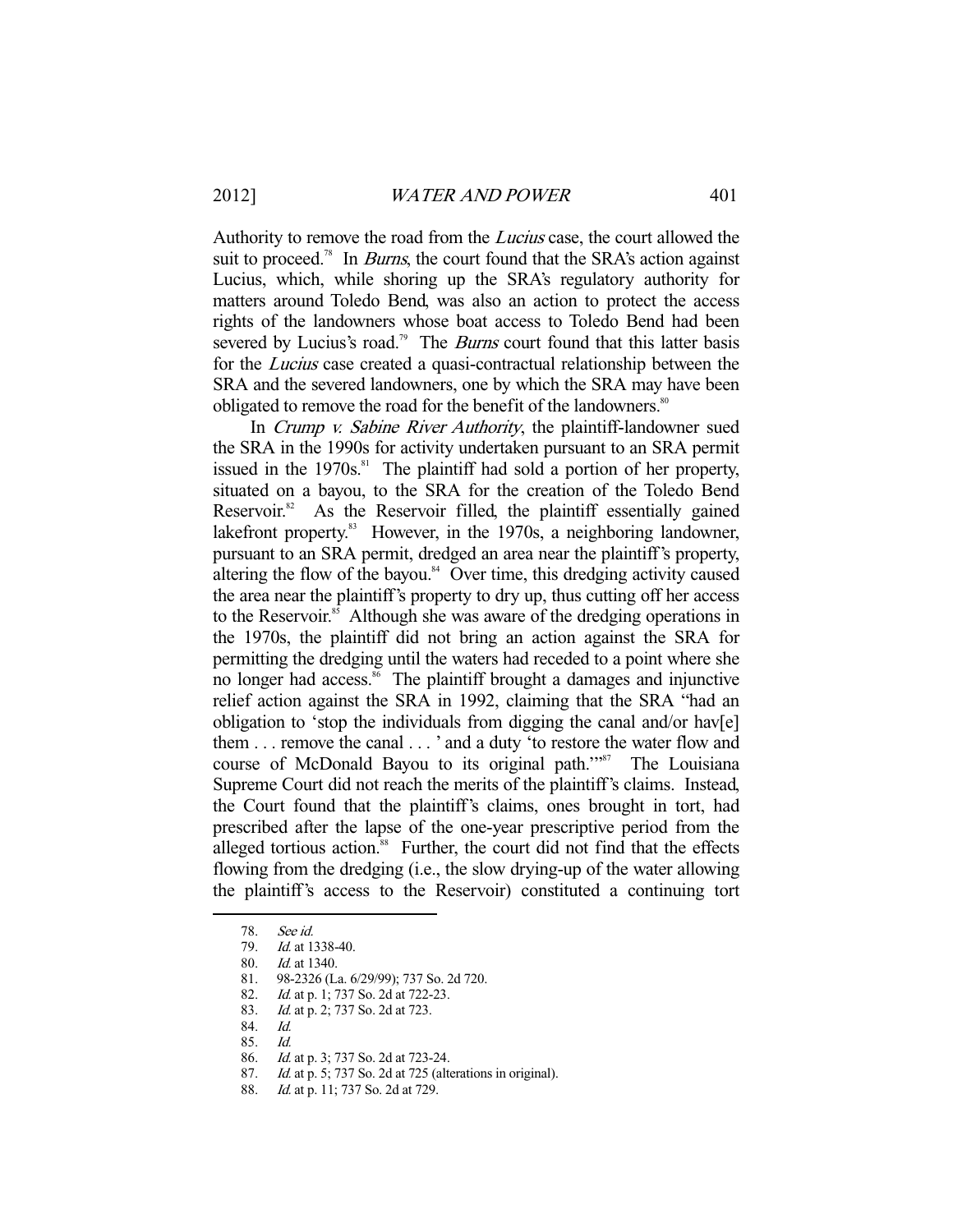Authority to remove the road from the Lucius case, the court allowed the suit to proceed.<sup>78</sup> In *Burns*, the court found that the SRA's action against Lucius, which, while shoring up the SRA's regulatory authority for matters around Toledo Bend, was also an action to protect the access rights of the landowners whose boat access to Toledo Bend had been severed by Lucius's road.<sup>79</sup> The *Burns* court found that this latter basis for the Lucius case created a quasi-contractual relationship between the SRA and the severed landowners, one by which the SRA may have been obligated to remove the road for the benefit of the landowners.<sup>80</sup>

In Crump v. Sabine River Authority, the plaintiff-landowner sued the SRA in the 1990s for activity undertaken pursuant to an SRA permit issued in the  $1970s$ .<sup>81</sup> The plaintiff had sold a portion of her property, situated on a bayou, to the SRA for the creation of the Toledo Bend Reservoir.<sup>82</sup> As the Reservoir filled, the plaintiff essentially gained lakefront property.<sup>83</sup> However, in the 1970s, a neighboring landowner, pursuant to an SRA permit, dredged an area near the plaintiff's property, altering the flow of the bayou. $84$  Over time, this dredging activity caused the area near the plaintiff's property to dry up, thus cutting off her access to the Reservoir.<sup>85</sup> Although she was aware of the dredging operations in the 1970s, the plaintiff did not bring an action against the SRA for permitting the dredging until the waters had receded to a point where she no longer had access.<sup>86</sup> The plaintiff brought a damages and injunctive relief action against the SRA in 1992, claiming that the SRA "had an obligation to 'stop the individuals from digging the canal and/or hav[e] them . . . remove the canal . . . ' and a duty 'to restore the water flow and course of McDonald Bayou to its original path."<sup>87</sup> The Louisiana Supreme Court did not reach the merits of the plaintiff's claims. Instead, the Court found that the plaintiff's claims, ones brought in tort, had prescribed after the lapse of the one-year prescriptive period from the alleged tortious action.<sup>88</sup> Further, the court did not find that the effects flowing from the dredging (i.e., the slow drying-up of the water allowing the plaintiff's access to the Reservoir) constituted a continuing tort

 <sup>78.</sup> See id.

 <sup>79.</sup> Id. at 1338-40.

 <sup>80.</sup> Id. at 1340.

 <sup>81. 98-2326 (</sup>La. 6/29/99); 737 So. 2d 720.

<sup>82.</sup> *Id.* at p. 1; 737 So. 2d at 722-23.

<sup>83.</sup> *Id.* at p. 2; 737 So. 2d at 723.

 <sup>84.</sup> Id.

 <sup>85.</sup> Id.

 <sup>86.</sup> Id. at p. 3; 737 So. 2d at 723-24.

 <sup>87.</sup> Id. at p. 5; 737 So. 2d at 725 (alterations in original).

<sup>88.</sup> *Id.* at p. 11; 737 So. 2d at 729.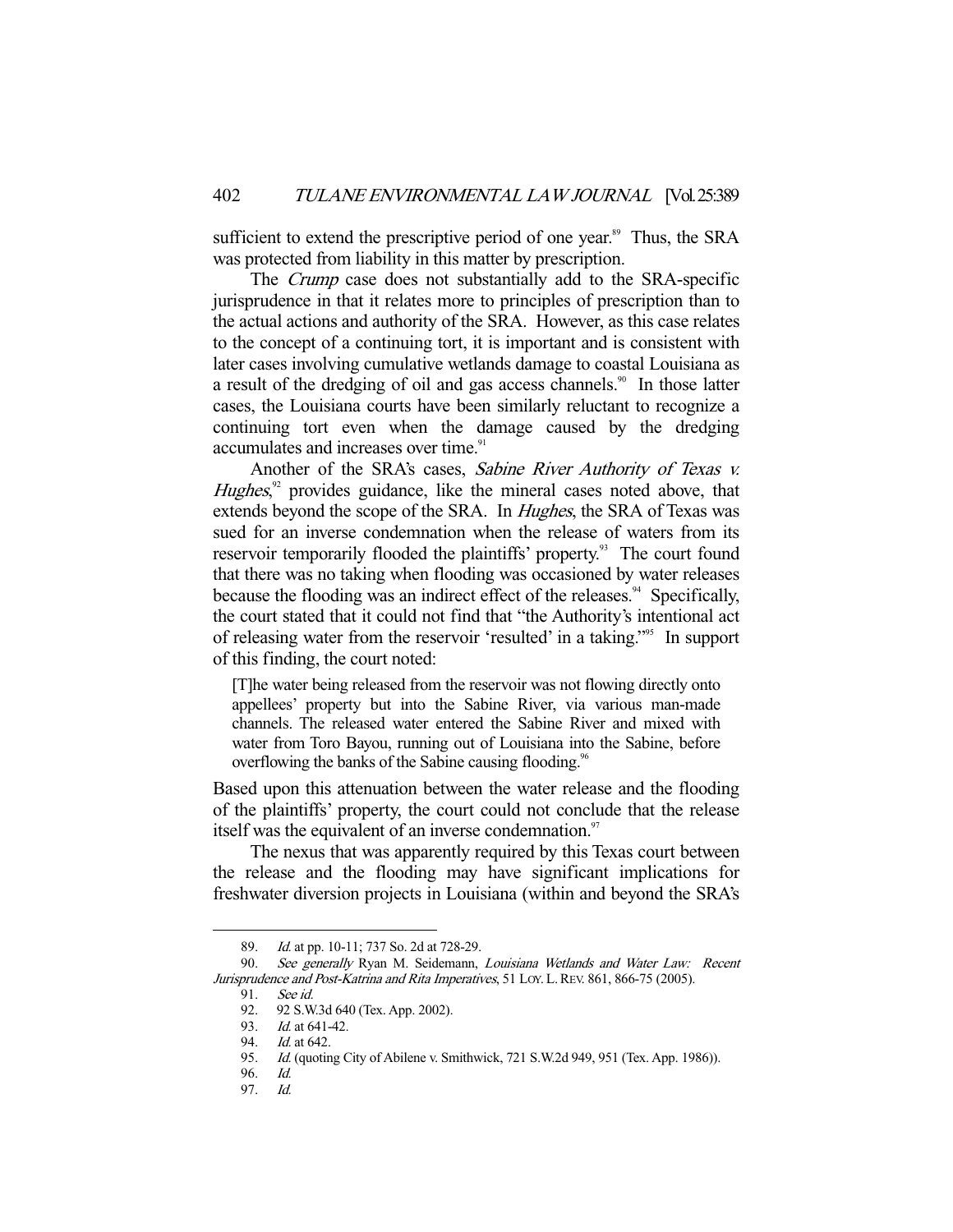sufficient to extend the prescriptive period of one year.<sup>89</sup> Thus, the SRA was protected from liability in this matter by prescription.

The *Crump* case does not substantially add to the SRA-specific jurisprudence in that it relates more to principles of prescription than to the actual actions and authority of the SRA. However, as this case relates to the concept of a continuing tort, it is important and is consistent with later cases involving cumulative wetlands damage to coastal Louisiana as a result of the dredging of oil and gas access channels.<sup>90</sup> In those latter cases, the Louisiana courts have been similarly reluctant to recognize a continuing tort even when the damage caused by the dredging accumulates and increases over time.<sup>91</sup>

Another of the SRA's cases, Sabine River Authority of Texas v.  $Hughes$ , $92$  provides guidance, like the mineral cases noted above, that extends beyond the scope of the SRA. In *Hughes*, the SRA of Texas was sued for an inverse condemnation when the release of waters from its reservoir temporarily flooded the plaintiffs' property.<sup>93</sup> The court found that there was no taking when flooding was occasioned by water releases because the flooding was an indirect effect of the releases.<sup>94</sup> Specifically, the court stated that it could not find that "the Authority's intentional act of releasing water from the reservoir 'resulted' in a taking."95 In support of this finding, the court noted:

[T]he water being released from the reservoir was not flowing directly onto appellees' property but into the Sabine River, via various man-made channels. The released water entered the Sabine River and mixed with water from Toro Bayou, running out of Louisiana into the Sabine, before overflowing the banks of the Sabine causing flooding.<sup>96</sup>

Based upon this attenuation between the water release and the flooding of the plaintiffs' property, the court could not conclude that the release itself was the equivalent of an inverse condemnation.<sup>97</sup>

 The nexus that was apparently required by this Texas court between the release and the flooding may have significant implications for freshwater diversion projects in Louisiana (within and beyond the SRA's

<sup>89.</sup> *Id.* at pp. 10-11; 737 So. 2d at 728-29.

<sup>90.</sup> See generally Ryan M. Seidemann, Louisiana Wetlands and Water Law: Recent Jurisprudence and Post-Katrina and Rita Imperatives, 51 LOY. L.REV. 861, 866-75 (2005).

 <sup>91.</sup> See id.

 <sup>92. 92</sup> S.W.3d 640 (Tex. App. 2002).

<sup>93.</sup> *Id.* at 641-42.

<sup>94.</sup> *Id.* at 642.

<sup>95.</sup> *Id.* (quoting City of Abilene v. Smithwick, 721 S.W.2d 949, 951 (Tex. App. 1986)).

 <sup>96.</sup> Id.

 <sup>97.</sup> Id.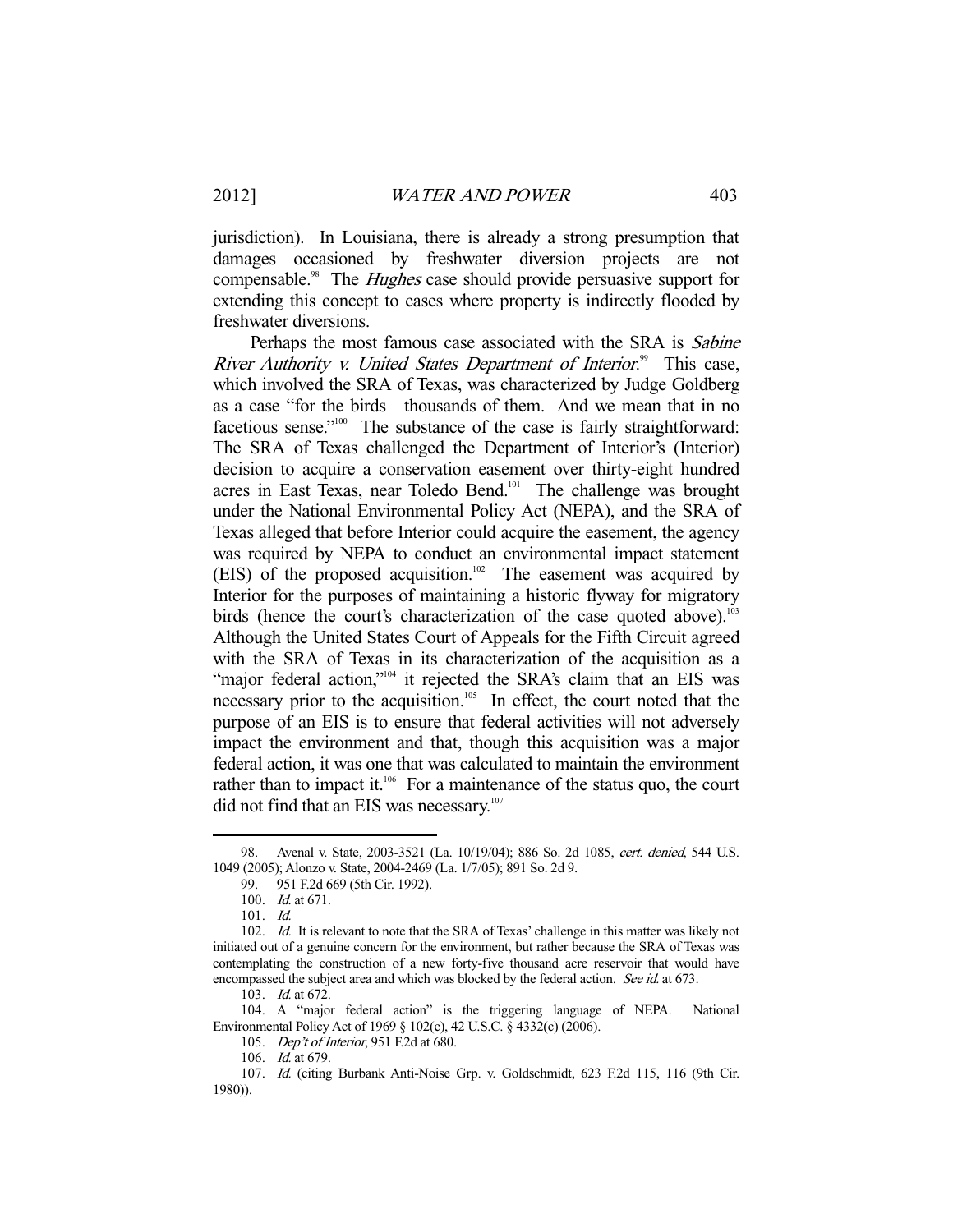jurisdiction). In Louisiana, there is already a strong presumption that damages occasioned by freshwater diversion projects are not compensable.<sup>98</sup> The *Hughes* case should provide persuasive support for extending this concept to cases where property is indirectly flooded by freshwater diversions.

Perhaps the most famous case associated with the SRA is *Sabine* River Authority v. United States Department of Interior.<sup>99</sup> This case, which involved the SRA of Texas, was characterized by Judge Goldberg as a case "for the birds—thousands of them. And we mean that in no facetious sense."<sup>100</sup> The substance of the case is fairly straightforward: The SRA of Texas challenged the Department of Interior's (Interior) decision to acquire a conservation easement over thirty-eight hundred acres in East Texas, near Toledo Bend.<sup>101</sup> The challenge was brought under the National Environmental Policy Act (NEPA), and the SRA of Texas alleged that before Interior could acquire the easement, the agency was required by NEPA to conduct an environmental impact statement (EIS) of the proposed acquisition.<sup>102</sup> The easement was acquired by Interior for the purposes of maintaining a historic flyway for migratory birds (hence the court's characterization of the case quoted above).<sup>103</sup> Although the United States Court of Appeals for the Fifth Circuit agreed with the SRA of Texas in its characterization of the acquisition as a "major federal action,"<sup>104</sup> it rejected the SRA's claim that an EIS was necessary prior to the acquisition.<sup>105</sup> In effect, the court noted that the purpose of an EIS is to ensure that federal activities will not adversely impact the environment and that, though this acquisition was a major federal action, it was one that was calculated to maintain the environment rather than to impact it.<sup>106</sup> For a maintenance of the status quo, the court did not find that an EIS was necessary.<sup>107</sup>

-

 104. A "major federal action" is the triggering language of NEPA. National Environmental Policy Act of 1969 § 102(c), 42 U.S.C. § 4332(c) (2006).

<sup>98.</sup> Avenal v. State, 2003-3521 (La. 10/19/04); 886 So. 2d 1085, cert. denied, 544 U.S. 1049 (2005); Alonzo v. State, 2004-2469 (La. 1/7/05); 891 So. 2d 9.

 <sup>99. 951</sup> F.2d 669 (5th Cir. 1992).

<sup>100.</sup> *Id.* at 671.

 <sup>101.</sup> Id.

<sup>102.</sup> Id. It is relevant to note that the SRA of Texas' challenge in this matter was likely not initiated out of a genuine concern for the environment, but rather because the SRA of Texas was contemplating the construction of a new forty-five thousand acre reservoir that would have encompassed the subject area and which was blocked by the federal action. See id. at 673.

 <sup>103.</sup> Id. at 672.

<sup>105.</sup> Dep't of Interior, 951 F.2d at 680.

 <sup>106.</sup> Id. at 679.

 <sup>107.</sup> Id. (citing Burbank Anti-Noise Grp. v. Goldschmidt, 623 F.2d 115, 116 (9th Cir. 1980)).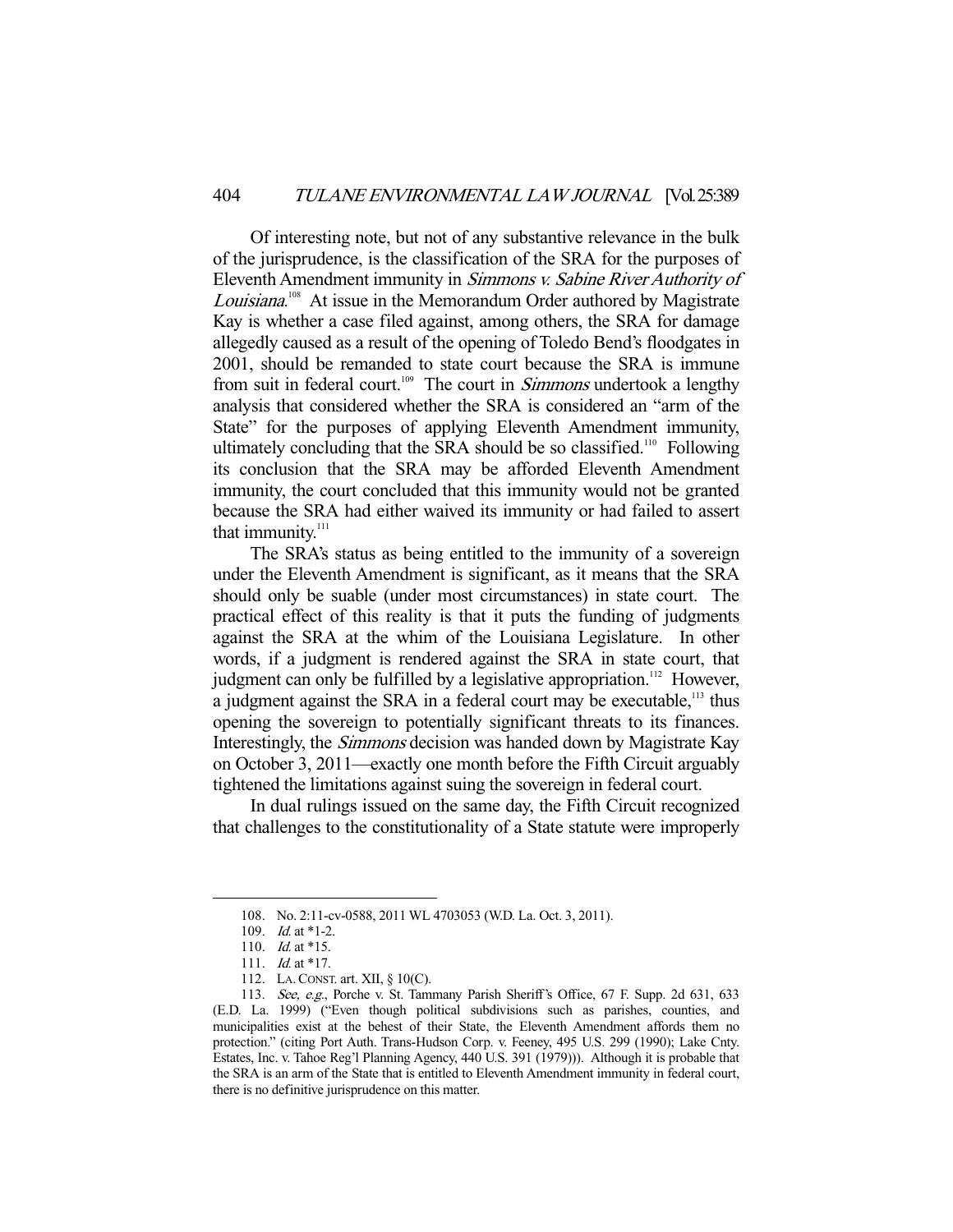Of interesting note, but not of any substantive relevance in the bulk of the jurisprudence, is the classification of the SRA for the purposes of Eleventh Amendment immunity in Simmons v. Sabine River Authority of Louisiana.<sup>108</sup> At issue in the Memorandum Order authored by Magistrate Kay is whether a case filed against, among others, the SRA for damage allegedly caused as a result of the opening of Toledo Bend's floodgates in 2001, should be remanded to state court because the SRA is immune from suit in federal court.<sup>109</sup> The court in *Simmons* undertook a lengthy analysis that considered whether the SRA is considered an "arm of the State" for the purposes of applying Eleventh Amendment immunity, ultimately concluding that the SRA should be so classified.<sup>110</sup> Following its conclusion that the SRA may be afforded Eleventh Amendment immunity, the court concluded that this immunity would not be granted because the SRA had either waived its immunity or had failed to assert that immunity.<sup>111</sup>

 The SRA's status as being entitled to the immunity of a sovereign under the Eleventh Amendment is significant, as it means that the SRA should only be suable (under most circumstances) in state court. The practical effect of this reality is that it puts the funding of judgments against the SRA at the whim of the Louisiana Legislature. In other words, if a judgment is rendered against the SRA in state court, that judgment can only be fulfilled by a legislative appropriation.<sup>112</sup> However, a judgment against the SRA in a federal court may be executable,<sup>113</sup> thus opening the sovereign to potentially significant threats to its finances. Interestingly, the Simmons decision was handed down by Magistrate Kay on October 3, 2011—exactly one month before the Fifth Circuit arguably tightened the limitations against suing the sovereign in federal court.

 In dual rulings issued on the same day, the Fifth Circuit recognized that challenges to the constitutionality of a State statute were improperly

 <sup>108.</sup> No. 2:11-cv-0588, 2011 WL 4703053 (W.D. La. Oct. 3, 2011).

<sup>109.</sup> *Id.* at \*1-2.

<sup>110.</sup> *Id.* at \*15.

<sup>111.</sup> *Id.* at \*17.

 <sup>112.</sup> LA.CONST. art. XII, § 10(C).

 <sup>113.</sup> See, e.g., Porche v. St. Tammany Parish Sheriff's Office, 67 F. Supp. 2d 631, 633 (E.D. La. 1999) ("Even though political subdivisions such as parishes, counties, and municipalities exist at the behest of their State, the Eleventh Amendment affords them no protection." (citing Port Auth. Trans-Hudson Corp. v. Feeney, 495 U.S. 299 (1990); Lake Cnty. Estates, Inc. v. Tahoe Reg'l Planning Agency, 440 U.S. 391 (1979))). Although it is probable that the SRA is an arm of the State that is entitled to Eleventh Amendment immunity in federal court, there is no definitive jurisprudence on this matter.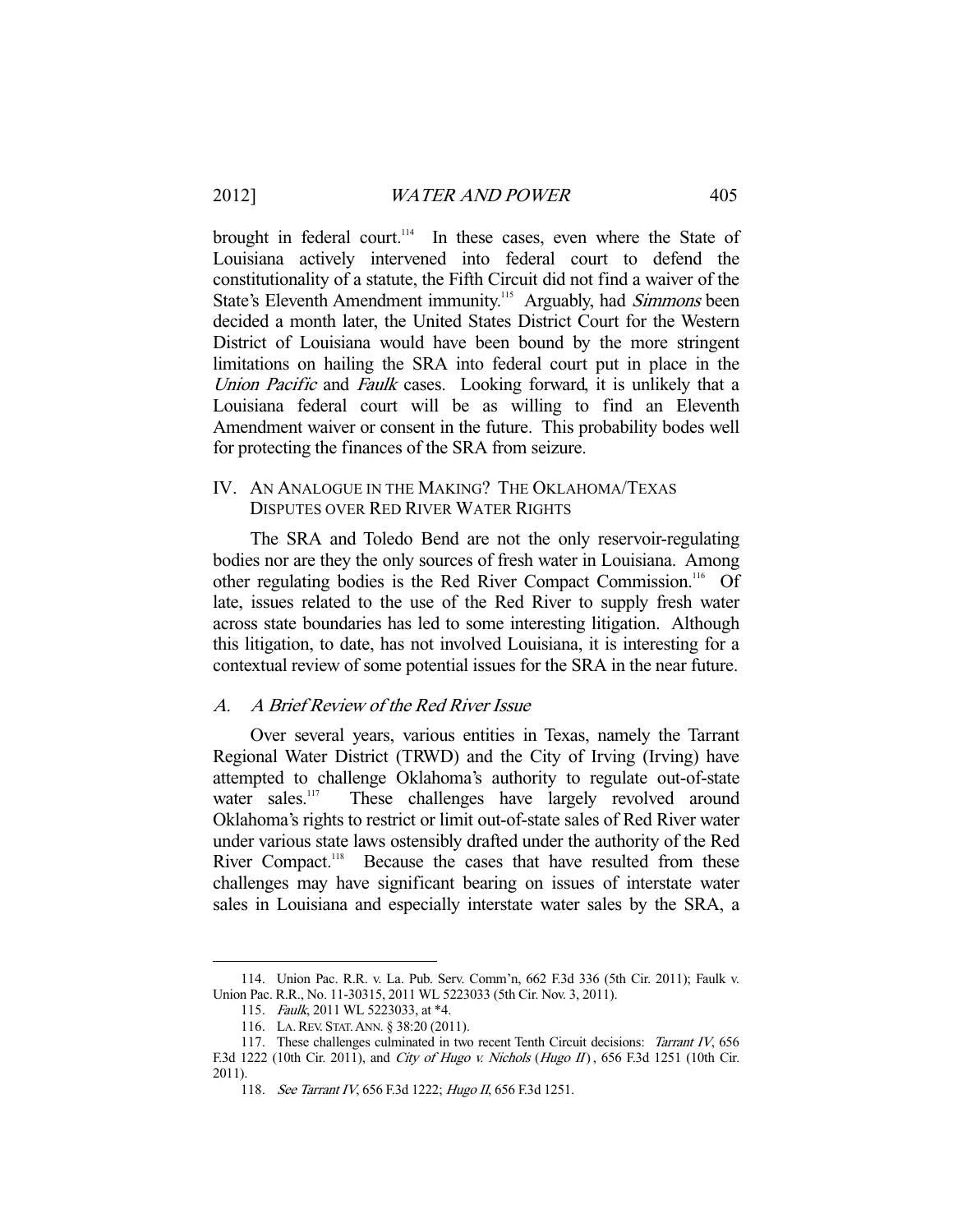brought in federal court.<sup>114</sup> In these cases, even where the State of Louisiana actively intervened into federal court to defend the constitutionality of a statute, the Fifth Circuit did not find a waiver of the State's Eleventh Amendment immunity.<sup>115</sup> Arguably, had *Simmons* been decided a month later, the United States District Court for the Western District of Louisiana would have been bound by the more stringent limitations on hailing the SRA into federal court put in place in the Union Pacific and Faulk cases. Looking forward, it is unlikely that a Louisiana federal court will be as willing to find an Eleventh Amendment waiver or consent in the future. This probability bodes well for protecting the finances of the SRA from seizure.

# IV. AN ANALOGUE IN THE MAKING? THE OKLAHOMA/TEXAS DISPUTES OVER RED RIVER WATER RIGHTS

 The SRA and Toledo Bend are not the only reservoir-regulating bodies nor are they the only sources of fresh water in Louisiana. Among other regulating bodies is the Red River Compact Commission.116 Of late, issues related to the use of the Red River to supply fresh water across state boundaries has led to some interesting litigation. Although this litigation, to date, has not involved Louisiana, it is interesting for a contextual review of some potential issues for the SRA in the near future.

#### A. A Brief Review of the Red River Issue

 Over several years, various entities in Texas, namely the Tarrant Regional Water District (TRWD) and the City of Irving (Irving) have attempted to challenge Oklahoma's authority to regulate out-of-state water sales.<sup>117</sup> These challenges have largely revolved around These challenges have largely revolved around Oklahoma's rights to restrict or limit out-of-state sales of Red River water under various state laws ostensibly drafted under the authority of the Red River Compact.<sup>118</sup> Because the cases that have resulted from these challenges may have significant bearing on issues of interstate water sales in Louisiana and especially interstate water sales by the SRA, a

 <sup>114.</sup> Union Pac. R.R. v. La. Pub. Serv. Comm'n, 662 F.3d 336 (5th Cir. 2011); Faulk v. Union Pac. R.R., No. 11-30315, 2011 WL 5223033 (5th Cir. Nov. 3, 2011).

 <sup>115.</sup> Faulk, 2011 WL 5223033, at \*4.

 <sup>116.</sup> LA.REV. STAT.ANN. § 38:20 (2011).

<sup>117.</sup> These challenges culminated in two recent Tenth Circuit decisions: Tarrant IV, 656 F.3d 1222 (10th Cir. 2011), and City of Hugo v. Nichols (Hugo II), 656 F.3d 1251 (10th Cir. 2011).

<sup>118.</sup> See Tarrant IV, 656 F.3d 1222; Hugo II, 656 F.3d 1251.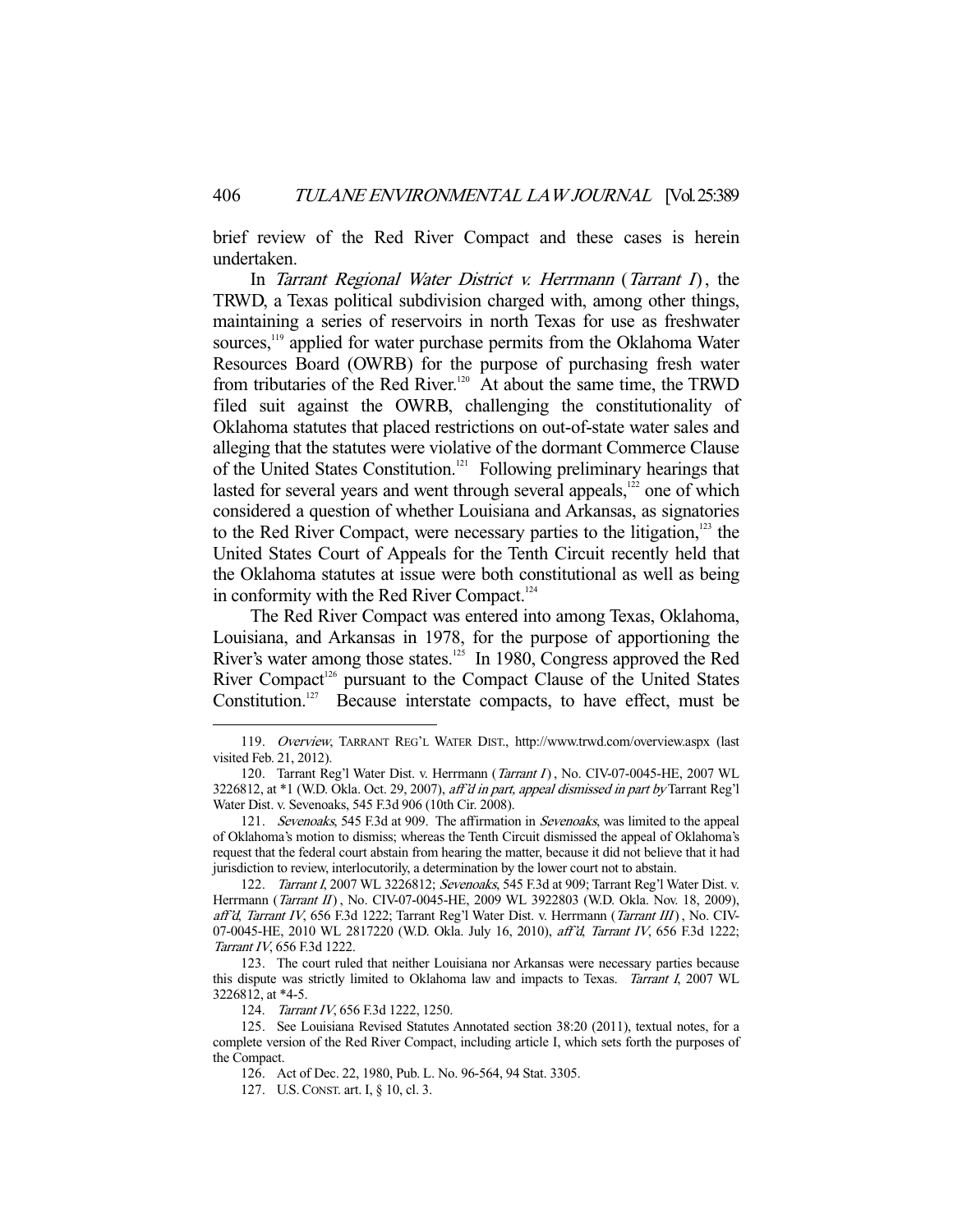brief review of the Red River Compact and these cases is herein undertaken.

In Tarrant Regional Water District v. Herrmann (Tarrant I), the TRWD, a Texas political subdivision charged with, among other things, maintaining a series of reservoirs in north Texas for use as freshwater sources,<sup>119</sup> applied for water purchase permits from the Oklahoma Water Resources Board (OWRB) for the purpose of purchasing fresh water from tributaries of the Red River.<sup>120</sup> At about the same time, the TRWD filed suit against the OWRB, challenging the constitutionality of Oklahoma statutes that placed restrictions on out-of-state water sales and alleging that the statutes were violative of the dormant Commerce Clause of the United States Constitution.121 Following preliminary hearings that lasted for several years and went through several appeals, $122$  one of which considered a question of whether Louisiana and Arkansas, as signatories to the Red River Compact, were necessary parties to the litigation, $123$  the United States Court of Appeals for the Tenth Circuit recently held that the Oklahoma statutes at issue were both constitutional as well as being in conformity with the Red River Compact.<sup>124</sup>

 The Red River Compact was entered into among Texas, Oklahoma, Louisiana, and Arkansas in 1978, for the purpose of apportioning the River's water among those states.<sup>125</sup> In 1980, Congress approved the Red River Compact<sup>126</sup> pursuant to the Compact Clause of the United States Constitution.<sup>127</sup> Because interstate compacts, to have effect, must be

124. Tarrant IV, 656 F.3d 1222, 1250.

 <sup>119.</sup> Overview, TARRANT REG'L WATER DIST., http://www.trwd.com/overview.aspx (last visited Feb. 21, 2012).

<sup>120.</sup> Tarrant Reg'l Water Dist. v. Herrmann (*Tarrant I*), No. CIV-07-0045-HE, 2007 WL 3226812, at \*1 (W.D. Okla. Oct. 29, 2007), aff'd in part, appeal dismissed in part by Tarrant Reg'l Water Dist. v. Sevenoaks, 545 F.3d 906 (10th Cir. 2008).

<sup>121.</sup> Sevenoaks, 545 F.3d at 909. The affirmation in Sevenoaks, was limited to the appeal of Oklahoma's motion to dismiss; whereas the Tenth Circuit dismissed the appeal of Oklahoma's request that the federal court abstain from hearing the matter, because it did not believe that it had jurisdiction to review, interlocutorily, a determination by the lower court not to abstain.

<sup>122.</sup> Tarrant I, 2007 WL 3226812; Sevenoaks, 545 F.3d at 909; Tarrant Reg'l Water Dist. v. Herrmann (*Tarrant II*), No. CIV-07-0045-HE, 2009 WL 3922803 (W.D. Okla. Nov. 18, 2009), aff'd, Tarrant IV, 656 F.3d 1222; Tarrant Reg'l Water Dist. v. Herrmann (Tarrant III), No. CIV-07-0045-HE, 2010 WL 2817220 (W.D. Okla. July 16, 2010), aff'd, Tarrant IV, 656 F.3d 1222; Tarrant IV, 656 F.3d 1222.

 <sup>123.</sup> The court ruled that neither Louisiana nor Arkansas were necessary parties because this dispute was strictly limited to Oklahoma law and impacts to Texas. Tarrant I, 2007 WL 3226812, at \*4-5.

 <sup>125.</sup> See Louisiana Revised Statutes Annotated section 38:20 (2011), textual notes, for a complete version of the Red River Compact, including article I, which sets forth the purposes of the Compact.

 <sup>126.</sup> Act of Dec. 22, 1980, Pub. L. No. 96-564, 94 Stat. 3305.

 <sup>127.</sup> U.S.CONST. art. I, § 10, cl. 3.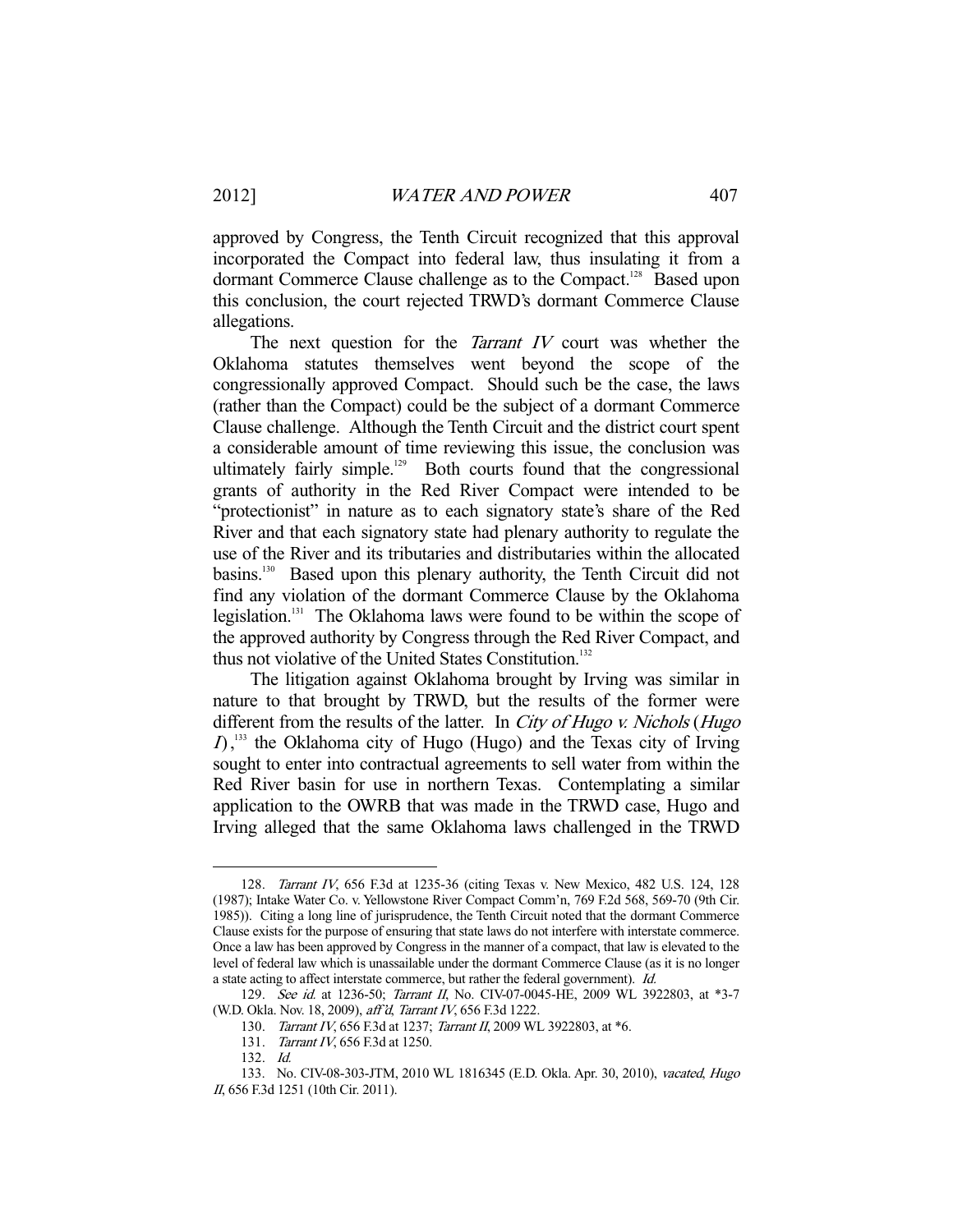approved by Congress, the Tenth Circuit recognized that this approval incorporated the Compact into federal law, thus insulating it from a dormant Commerce Clause challenge as to the Compact.<sup>128</sup> Based upon this conclusion, the court rejected TRWD's dormant Commerce Clause allegations.

The next question for the *Tarrant IV* court was whether the Oklahoma statutes themselves went beyond the scope of the congressionally approved Compact. Should such be the case, the laws (rather than the Compact) could be the subject of a dormant Commerce Clause challenge. Although the Tenth Circuit and the district court spent a considerable amount of time reviewing this issue, the conclusion was ultimately fairly simple.<sup>129</sup> Both courts found that the congressional grants of authority in the Red River Compact were intended to be "protectionist" in nature as to each signatory state's share of the Red River and that each signatory state had plenary authority to regulate the use of the River and its tributaries and distributaries within the allocated basins.130 Based upon this plenary authority, the Tenth Circuit did not find any violation of the dormant Commerce Clause by the Oklahoma legislation.<sup>131</sup> The Oklahoma laws were found to be within the scope of the approved authority by Congress through the Red River Compact, and thus not violative of the United States Constitution.<sup>132</sup>

 The litigation against Oklahoma brought by Irving was similar in nature to that brought by TRWD, but the results of the former were different from the results of the latter. In City of Hugo v. Nichols (Hugo  $I$ ,<sup>133</sup> the Oklahoma city of Hugo (Hugo) and the Texas city of Irving sought to enter into contractual agreements to sell water from within the Red River basin for use in northern Texas. Contemplating a similar application to the OWRB that was made in the TRWD case, Hugo and Irving alleged that the same Oklahoma laws challenged in the TRWD

 <sup>128.</sup> Tarrant IV, 656 F.3d at 1235-36 (citing Texas v. New Mexico, 482 U.S. 124, 128 (1987); Intake Water Co. v. Yellowstone River Compact Comm'n, 769 F.2d 568, 569-70 (9th Cir. 1985)). Citing a long line of jurisprudence, the Tenth Circuit noted that the dormant Commerce Clause exists for the purpose of ensuring that state laws do not interfere with interstate commerce. Once a law has been approved by Congress in the manner of a compact, that law is elevated to the level of federal law which is unassailable under the dormant Commerce Clause (as it is no longer a state acting to affect interstate commerce, but rather the federal government). Id.

<sup>129.</sup> See id. at 1236-50; Tarrant II, No. CIV-07-0045-HE, 2009 WL 3922803, at \*3-7 (W.D. Okla. Nov. 18, 2009), aff'd, Tarrant IV, 656 F.3d 1222.

 <sup>130.</sup> Tarrant IV, 656 F.3d at 1237; Tarrant II, 2009 WL 3922803, at \*6.

<sup>131.</sup> Tarrant IV, 656 F.3d at 1250.

 <sup>132.</sup> Id.

 <sup>133.</sup> No. CIV-08-303-JTM, 2010 WL 1816345 (E.D. Okla. Apr. 30, 2010), vacated, Hugo II, 656 F.3d 1251 (10th Cir. 2011).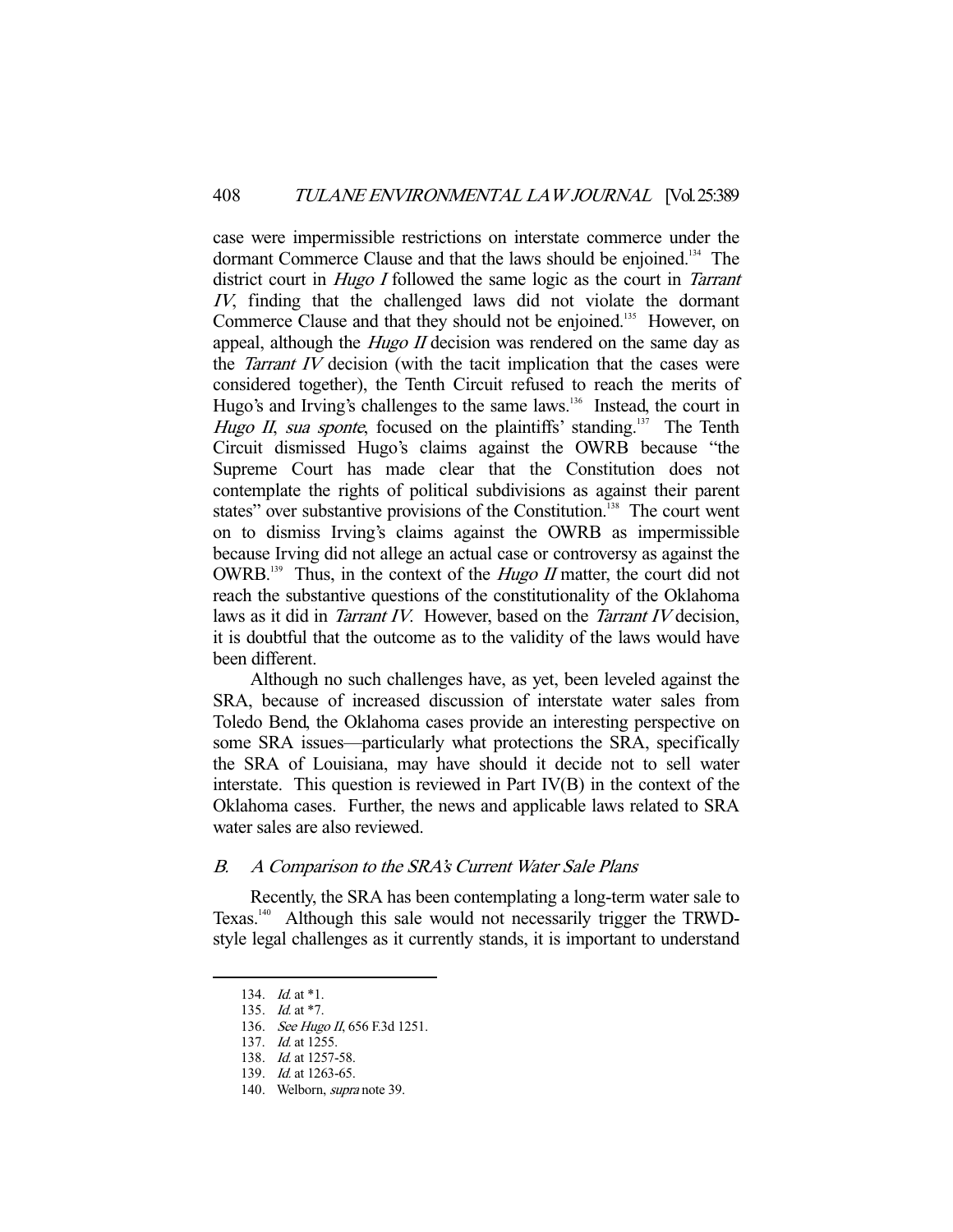case were impermissible restrictions on interstate commerce under the dormant Commerce Clause and that the laws should be enjoined.<sup>134</sup> The district court in *Hugo I* followed the same logic as the court in *Tarrant* IV, finding that the challenged laws did not violate the dormant Commerce Clause and that they should not be enjoined.<sup>135</sup> However, on appeal, although the *Hugo II* decision was rendered on the same day as the *Tarrant IV* decision (with the tacit implication that the cases were considered together), the Tenth Circuit refused to reach the merits of Hugo's and Irving's challenges to the same laws.<sup>136</sup> Instead, the court in Hugo II, sua sponte, focused on the plaintiffs' standing.<sup>137</sup> The Tenth Circuit dismissed Hugo's claims against the OWRB because "the Supreme Court has made clear that the Constitution does not contemplate the rights of political subdivisions as against their parent states" over substantive provisions of the Constitution.<sup>138</sup> The court went on to dismiss Irving's claims against the OWRB as impermissible because Irving did not allege an actual case or controversy as against the OWRB.<sup>139</sup> Thus, in the context of the *Hugo II* matter, the court did not reach the substantive questions of the constitutionality of the Oklahoma laws as it did in *Tarrant IV*. However, based on the *Tarrant IV* decision, it is doubtful that the outcome as to the validity of the laws would have been different.

 Although no such challenges have, as yet, been leveled against the SRA, because of increased discussion of interstate water sales from Toledo Bend, the Oklahoma cases provide an interesting perspective on some SRA issues—particularly what protections the SRA, specifically the SRA of Louisiana, may have should it decide not to sell water interstate. This question is reviewed in Part IV(B) in the context of the Oklahoma cases. Further, the news and applicable laws related to SRA water sales are also reviewed.

# B. A Comparison to the SRA's Current Water Sale Plans

 Recently, the SRA has been contemplating a long-term water sale to Texas.140 Although this sale would not necessarily trigger the TRWDstyle legal challenges as it currently stands, it is important to understand

<sup>134.</sup> *Id.* at \*1.

<sup>135.</sup> *Id.* at \*7.

<sup>136.</sup> See Hugo II, 656 F.3d 1251.

<sup>137.</sup> *Id.* at 1255.

 <sup>138.</sup> Id. at 1257-58.

 <sup>139.</sup> Id. at 1263-65.

 <sup>140.</sup> Welborn, supra note 39.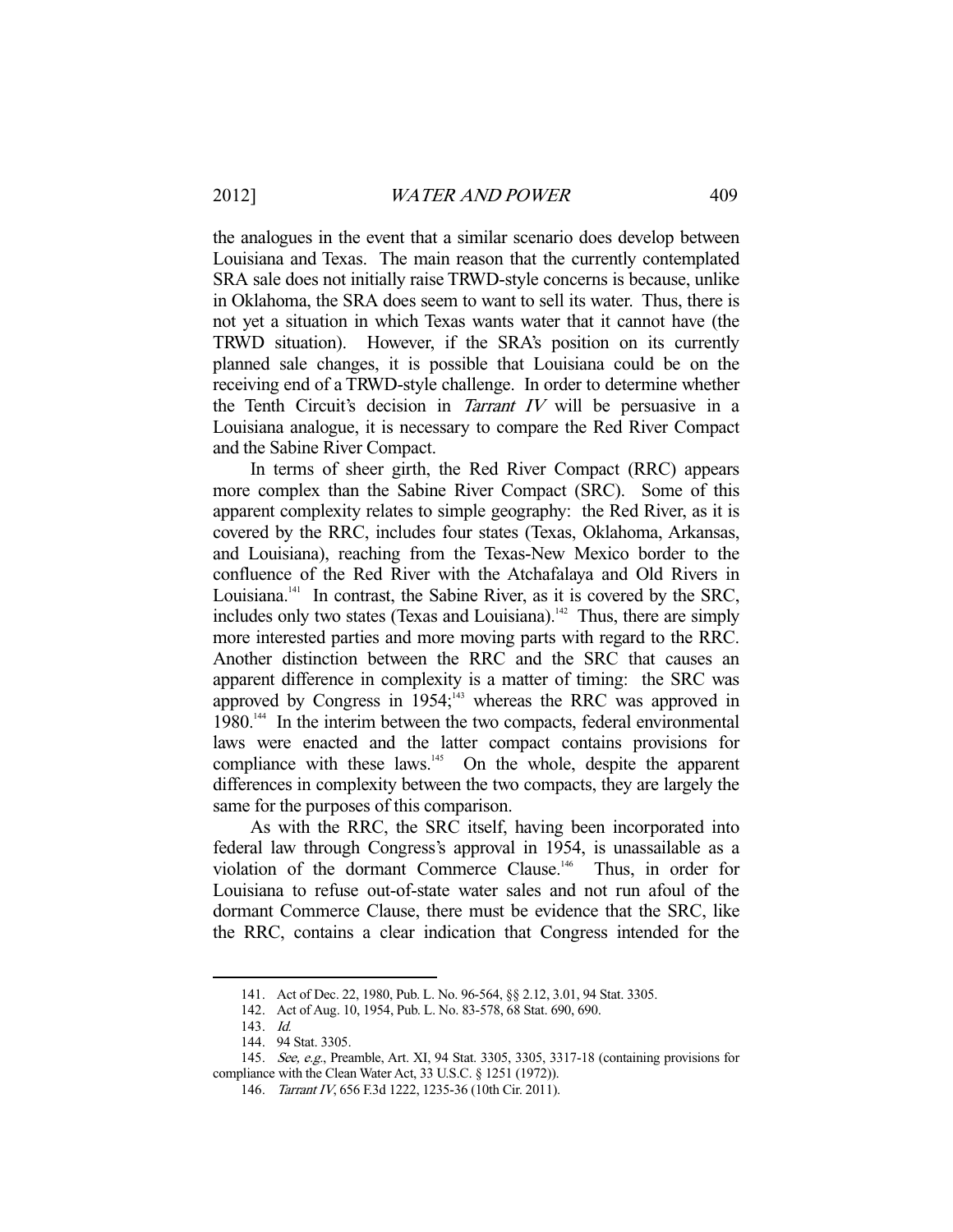the analogues in the event that a similar scenario does develop between Louisiana and Texas. The main reason that the currently contemplated SRA sale does not initially raise TRWD-style concerns is because, unlike in Oklahoma, the SRA does seem to want to sell its water. Thus, there is not yet a situation in which Texas wants water that it cannot have (the TRWD situation). However, if the SRA's position on its currently planned sale changes, it is possible that Louisiana could be on the receiving end of a TRWD-style challenge. In order to determine whether the Tenth Circuit's decision in *Tarrant IV* will be persuasive in a Louisiana analogue, it is necessary to compare the Red River Compact and the Sabine River Compact.

 In terms of sheer girth, the Red River Compact (RRC) appears more complex than the Sabine River Compact (SRC). Some of this apparent complexity relates to simple geography: the Red River, as it is covered by the RRC, includes four states (Texas, Oklahoma, Arkansas, and Louisiana), reaching from the Texas-New Mexico border to the confluence of the Red River with the Atchafalaya and Old Rivers in Louisiana.<sup>141</sup> In contrast, the Sabine River, as it is covered by the SRC, includes only two states (Texas and Louisiana).<sup>142</sup> Thus, there are simply more interested parties and more moving parts with regard to the RRC. Another distinction between the RRC and the SRC that causes an apparent difference in complexity is a matter of timing: the SRC was approved by Congress in  $1954$ ;<sup>143</sup> whereas the RRC was approved in 1980.<sup>144</sup> In the interim between the two compacts, federal environmental laws were enacted and the latter compact contains provisions for compliance with these laws.<sup>145</sup> On the whole, despite the apparent differences in complexity between the two compacts, they are largely the same for the purposes of this comparison.

 As with the RRC, the SRC itself, having been incorporated into federal law through Congress's approval in 1954, is unassailable as a violation of the dormant Commerce Clause.<sup>146</sup> Thus, in order for Louisiana to refuse out-of-state water sales and not run afoul of the dormant Commerce Clause, there must be evidence that the SRC, like the RRC, contains a clear indication that Congress intended for the

 <sup>141.</sup> Act of Dec. 22, 1980, Pub. L. No. 96-564, §§ 2.12, 3.01, 94 Stat. 3305.

 <sup>142.</sup> Act of Aug. 10, 1954, Pub. L. No. 83-578, 68 Stat. 690, 690.

 <sup>143.</sup> Id.

 <sup>144. 94</sup> Stat. 3305.

 <sup>145.</sup> See, e.g., Preamble, Art. XI, 94 Stat. 3305, 3305, 3317-18 (containing provisions for compliance with the Clean Water Act, 33 U.S.C. § 1251 (1972)).

 <sup>146.</sup> Tarrant IV, 656 F.3d 1222, 1235-36 (10th Cir. 2011).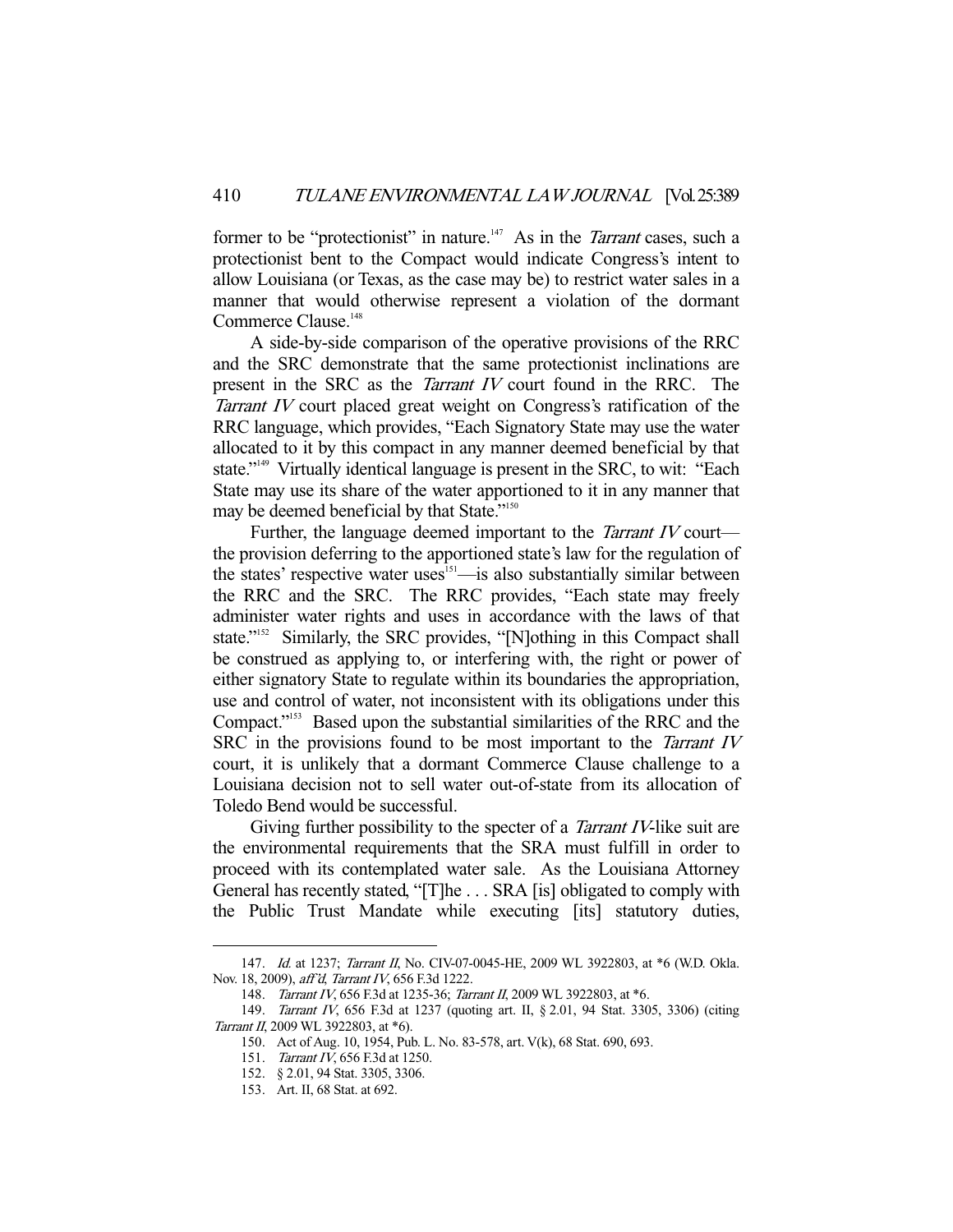former to be "protectionist" in nature.<sup>147</sup> As in the *Tarrant* cases, such a protectionist bent to the Compact would indicate Congress's intent to allow Louisiana (or Texas, as the case may be) to restrict water sales in a manner that would otherwise represent a violation of the dormant Commerce Clause.<sup>148</sup>

 A side-by-side comparison of the operative provisions of the RRC and the SRC demonstrate that the same protectionist inclinations are present in the SRC as the Tarrant IV court found in the RRC. The Tarrant IV court placed great weight on Congress's ratification of the RRC language, which provides, "Each Signatory State may use the water allocated to it by this compact in any manner deemed beneficial by that state."149 Virtually identical language is present in the SRC, to wit: "Each State may use its share of the water apportioned to it in any manner that may be deemed beneficial by that State."<sup>150</sup>

Further, the language deemed important to the *Tarrant IV* court the provision deferring to the apportioned state's law for the regulation of the states' respective water uses $151$ —is also substantially similar between the RRC and the SRC. The RRC provides, "Each state may freely administer water rights and uses in accordance with the laws of that state."<sup>152</sup> Similarly, the SRC provides, "[N]othing in this Compact shall be construed as applying to, or interfering with, the right or power of either signatory State to regulate within its boundaries the appropriation, use and control of water, not inconsistent with its obligations under this Compact."153 Based upon the substantial similarities of the RRC and the SRC in the provisions found to be most important to the Tarrant IV court, it is unlikely that a dormant Commerce Clause challenge to a Louisiana decision not to sell water out-of-state from its allocation of Toledo Bend would be successful.

Giving further possibility to the specter of a *Tarrant IV*-like suit are the environmental requirements that the SRA must fulfill in order to proceed with its contemplated water sale. As the Louisiana Attorney General has recently stated, "[T]he . . . SRA [is] obligated to comply with the Public Trust Mandate while executing [its] statutory duties,

<sup>147.</sup> Id. at 1237; Tarrant II, No. CIV-07-0045-HE, 2009 WL 3922803, at \*6 (W.D. Okla. Nov. 18, 2009), aff'd, Tarrant IV, 656 F.3d 1222.

<sup>148.</sup> Tarrant IV, 656 F.3d at 1235-36; Tarrant II, 2009 WL 3922803, at \*6.

 <sup>149.</sup> Tarrant IV, 656 F.3d at 1237 (quoting art. II, § 2.01, 94 Stat. 3305, 3306) (citing Tarrant II, 2009 WL 3922803, at \*6).

 <sup>150.</sup> Act of Aug. 10, 1954, Pub. L. No. 83-578, art. V(k), 68 Stat. 690, 693.

<sup>151.</sup> Tarrant IV, 656 F.3d at 1250.

 <sup>152. § 2.01, 94</sup> Stat. 3305, 3306.

 <sup>153.</sup> Art. II, 68 Stat. at 692.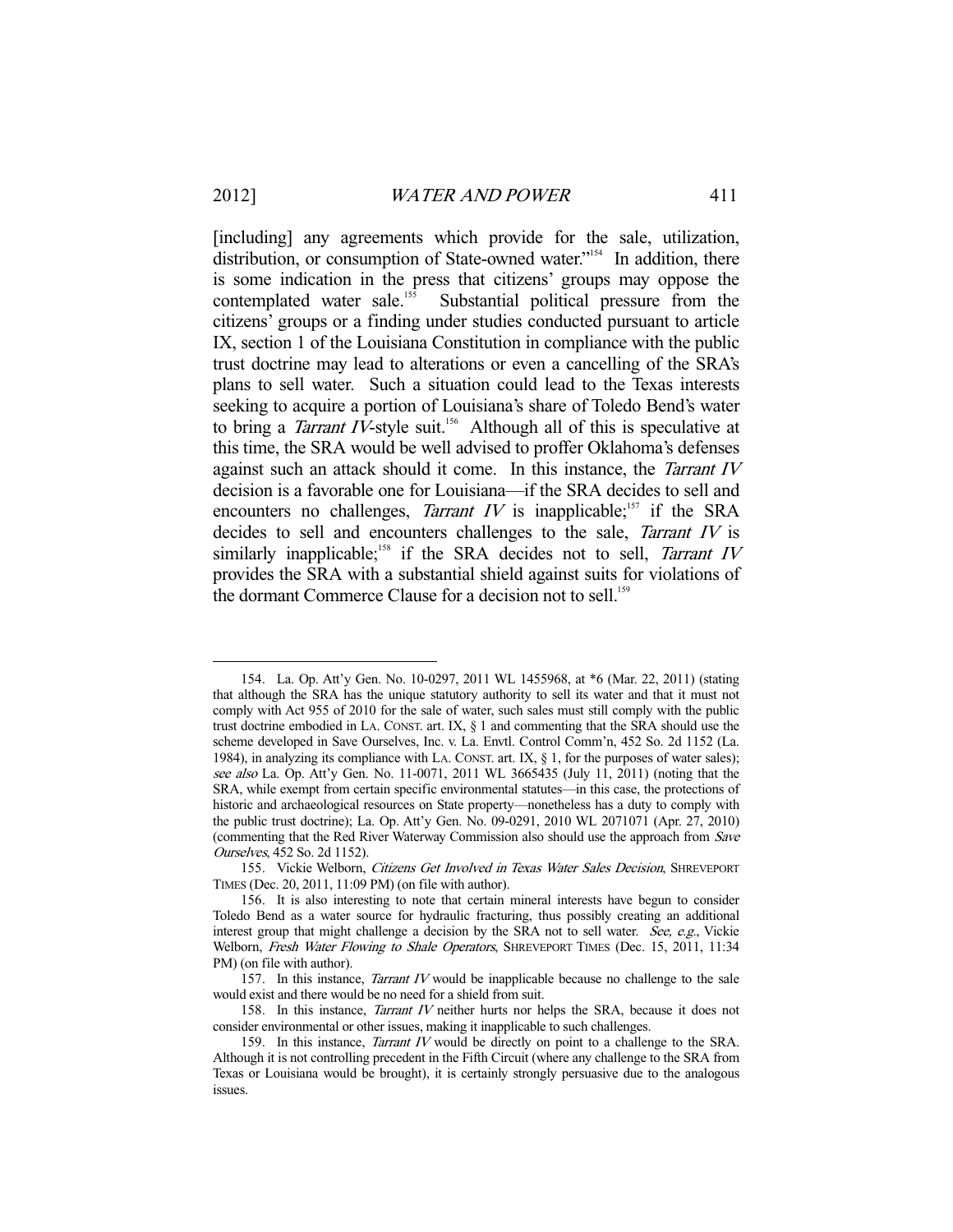-

[including] any agreements which provide for the sale, utilization, distribution, or consumption of State-owned water."<sup>154</sup> In addition, there is some indication in the press that citizens' groups may oppose the contemplated water sale.<sup>155</sup> Substantial political pressure from the citizens' groups or a finding under studies conducted pursuant to article IX, section 1 of the Louisiana Constitution in compliance with the public trust doctrine may lead to alterations or even a cancelling of the SRA's plans to sell water. Such a situation could lead to the Texas interests seeking to acquire a portion of Louisiana's share of Toledo Bend's water to bring a *Tarrant IV*-style suit.<sup>156</sup> Although all of this is speculative at this time, the SRA would be well advised to proffer Oklahoma's defenses against such an attack should it come. In this instance, the *Tarrant IV* decision is a favorable one for Louisiana—if the SRA decides to sell and encounters no challenges, *Tarrant IV* is inapplicable;<sup>157</sup> if the SRA decides to sell and encounters challenges to the sale, Tarrant IV is similarly inapplicable;<sup>158</sup> if the SRA decides not to sell, *Tarrant IV* provides the SRA with a substantial shield against suits for violations of the dormant Commerce Clause for a decision not to sell.<sup>159</sup>

 <sup>154.</sup> La. Op. Att'y Gen. No. 10-0297, 2011 WL 1455968, at \*6 (Mar. 22, 2011) (stating that although the SRA has the unique statutory authority to sell its water and that it must not comply with Act 955 of 2010 for the sale of water, such sales must still comply with the public trust doctrine embodied in LA. CONST. art. IX,  $\S$  1 and commenting that the SRA should use the scheme developed in Save Ourselves, Inc. v. La. Envtl. Control Comm'n, 452 So. 2d 1152 (La. 1984), in analyzing its compliance with LA. CONST. art. IX, § 1, for the purposes of water sales); see also La. Op. Att'y Gen. No. 11-0071, 2011 WL 3665435 (July 11, 2011) (noting that the SRA, while exempt from certain specific environmental statutes—in this case, the protections of historic and archaeological resources on State property—nonetheless has a duty to comply with the public trust doctrine); La. Op. Att'y Gen. No. 09-0291, 2010 WL 2071071 (Apr. 27, 2010) (commenting that the Red River Waterway Commission also should use the approach from Save Ourselves, 452 So. 2d 1152).

 <sup>155.</sup> Vickie Welborn, Citizens Get Involved in Texas Water Sales Decision, SHREVEPORT TIMES (Dec. 20, 2011, 11:09 PM) (on file with author).

 <sup>156.</sup> It is also interesting to note that certain mineral interests have begun to consider Toledo Bend as a water source for hydraulic fracturing, thus possibly creating an additional interest group that might challenge a decision by the SRA not to sell water. See, e.g., Vickie Welborn, Fresh Water Flowing to Shale Operators, SHREVEPORT TIMES (Dec. 15, 2011, 11:34 PM) (on file with author).

<sup>157.</sup> In this instance, *Tarrant IV* would be inapplicable because no challenge to the sale would exist and there would be no need for a shield from suit.

<sup>158.</sup> In this instance, *Tarrant IV* neither hurts nor helps the SRA, because it does not consider environmental or other issues, making it inapplicable to such challenges.

<sup>159.</sup> In this instance, *Tarrant IV* would be directly on point to a challenge to the SRA. Although it is not controlling precedent in the Fifth Circuit (where any challenge to the SRA from Texas or Louisiana would be brought), it is certainly strongly persuasive due to the analogous issues.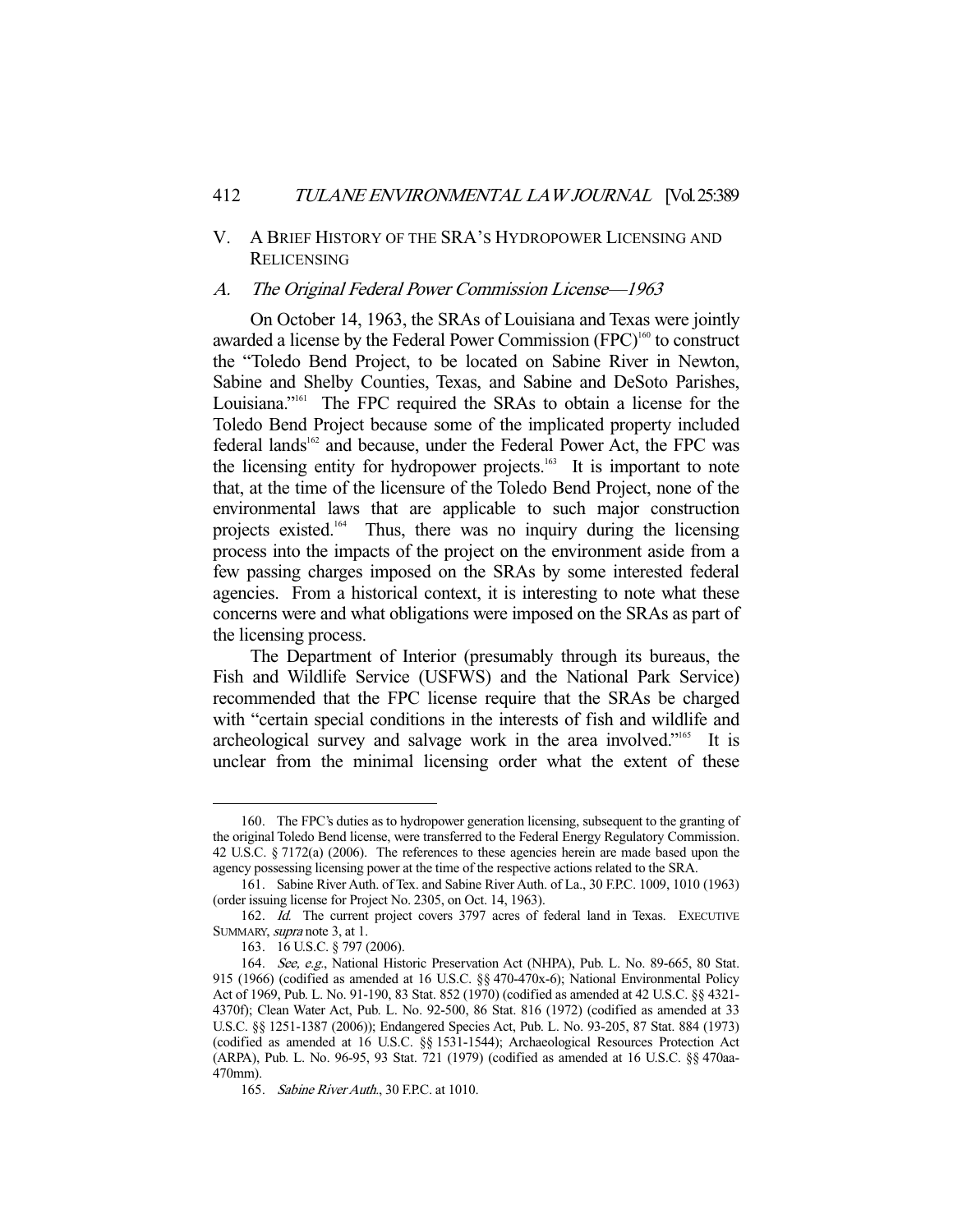# V. A BRIEF HISTORY OF THE SRA'S HYDROPOWER LICENSING AND RELICENSING

# A. The Original Federal Power Commission License—1963

 On October 14, 1963, the SRAs of Louisiana and Texas were jointly awarded a license by the Federal Power Commission  $(FPC)^{160}$  to construct the "Toledo Bend Project, to be located on Sabine River in Newton, Sabine and Shelby Counties, Texas, and Sabine and DeSoto Parishes, Louisiana."<sup>161</sup> The FPC required the SRAs to obtain a license for the Toledo Bend Project because some of the implicated property included federal lands<sup>162</sup> and because, under the Federal Power Act, the FPC was the licensing entity for hydropower projects.<sup>163</sup> It is important to note that, at the time of the licensure of the Toledo Bend Project, none of the environmental laws that are applicable to such major construction projects existed.164 Thus, there was no inquiry during the licensing process into the impacts of the project on the environment aside from a few passing charges imposed on the SRAs by some interested federal agencies. From a historical context, it is interesting to note what these concerns were and what obligations were imposed on the SRAs as part of the licensing process.

 The Department of Interior (presumably through its bureaus, the Fish and Wildlife Service (USFWS) and the National Park Service) recommended that the FPC license require that the SRAs be charged with "certain special conditions in the interests of fish and wildlife and archeological survey and salvage work in the area involved."165 It is unclear from the minimal licensing order what the extent of these

 <sup>160.</sup> The FPC's duties as to hydropower generation licensing, subsequent to the granting of the original Toledo Bend license, were transferred to the Federal Energy Regulatory Commission. 42 U.S.C. § 7172(a) (2006). The references to these agencies herein are made based upon the agency possessing licensing power at the time of the respective actions related to the SRA.

 <sup>161.</sup> Sabine River Auth. of Tex. and Sabine River Auth. of La., 30 F.P.C. 1009, 1010 (1963) (order issuing license for Project No. 2305, on Oct. 14, 1963).

<sup>162.</sup> Id. The current project covers 3797 acres of federal land in Texas. EXECUTIVE SUMMARY, supra note 3, at 1.

 <sup>163. 16</sup> U.S.C. § 797 (2006).

<sup>164.</sup> See, e.g., National Historic Preservation Act (NHPA), Pub. L. No. 89-665, 80 Stat. 915 (1966) (codified as amended at 16 U.S.C. §§ 470-470x-6); National Environmental Policy Act of 1969, Pub. L. No. 91-190, 83 Stat. 852 (1970) (codified as amended at 42 U.S.C. §§ 4321- 4370f); Clean Water Act, Pub. L. No. 92-500, 86 Stat. 816 (1972) (codified as amended at 33 U.S.C. §§ 1251-1387 (2006)); Endangered Species Act, Pub. L. No. 93-205, 87 Stat. 884 (1973) (codified as amended at 16 U.S.C. §§ 1531-1544); Archaeological Resources Protection Act (ARPA), Pub. L. No. 96-95, 93 Stat. 721 (1979) (codified as amended at 16 U.S.C. §§ 470aa-470mm).

<sup>165.</sup> Sabine River Auth., 30 F.P.C. at 1010.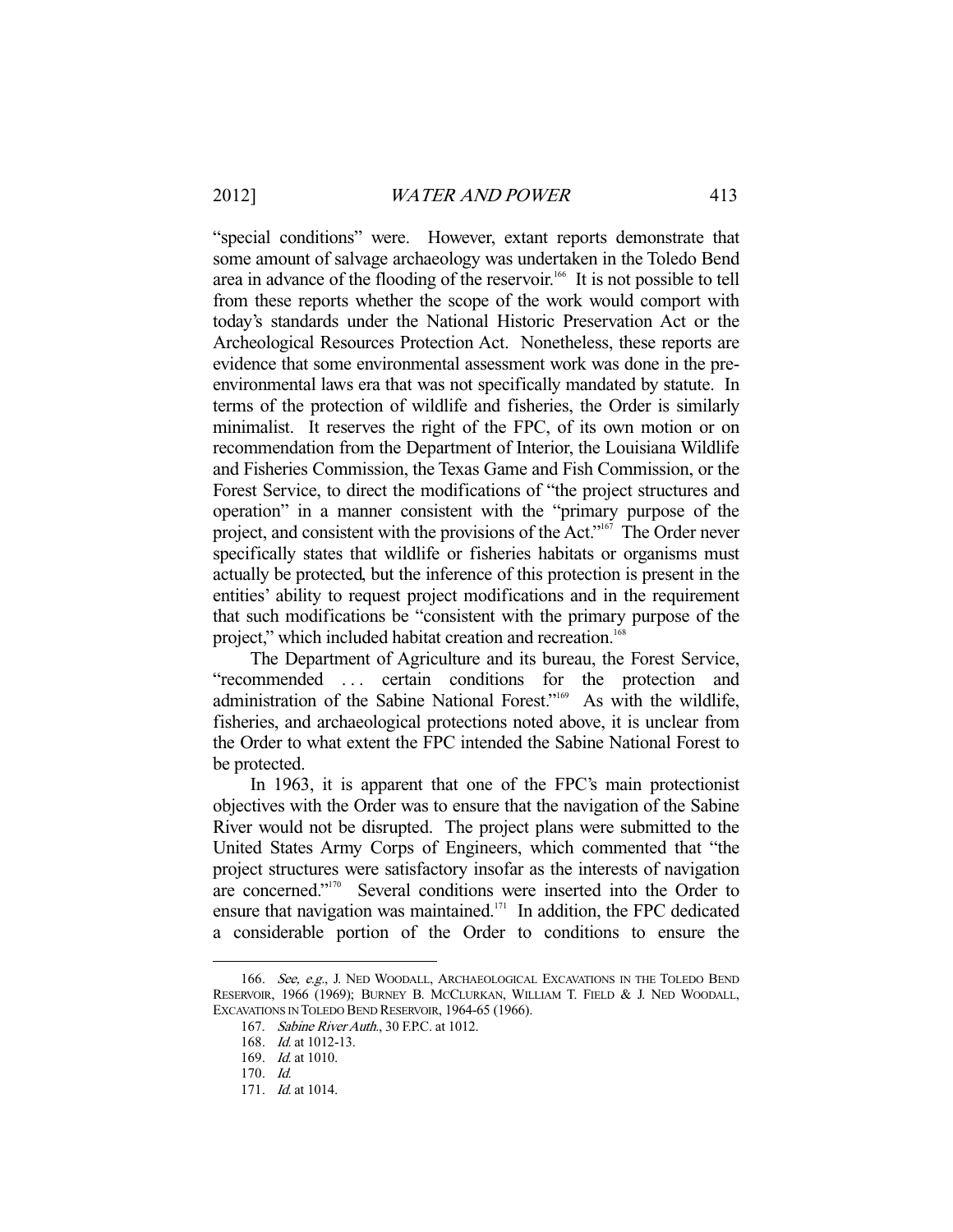"special conditions" were. However, extant reports demonstrate that some amount of salvage archaeology was undertaken in the Toledo Bend area in advance of the flooding of the reservoir.<sup>166</sup> It is not possible to tell from these reports whether the scope of the work would comport with today's standards under the National Historic Preservation Act or the Archeological Resources Protection Act. Nonetheless, these reports are evidence that some environmental assessment work was done in the preenvironmental laws era that was not specifically mandated by statute. In terms of the protection of wildlife and fisheries, the Order is similarly minimalist. It reserves the right of the FPC, of its own motion or on recommendation from the Department of Interior, the Louisiana Wildlife and Fisheries Commission, the Texas Game and Fish Commission, or the Forest Service, to direct the modifications of "the project structures and operation" in a manner consistent with the "primary purpose of the project, and consistent with the provisions of the Act."167 The Order never specifically states that wildlife or fisheries habitats or organisms must actually be protected, but the inference of this protection is present in the entities' ability to request project modifications and in the requirement that such modifications be "consistent with the primary purpose of the project," which included habitat creation and recreation.<sup>16</sup>

 The Department of Agriculture and its bureau, the Forest Service, "recommended ... certain conditions for the protection and administration of the Sabine National Forest."169 As with the wildlife, fisheries, and archaeological protections noted above, it is unclear from the Order to what extent the FPC intended the Sabine National Forest to be protected.

 In 1963, it is apparent that one of the FPC's main protectionist objectives with the Order was to ensure that the navigation of the Sabine River would not be disrupted. The project plans were submitted to the United States Army Corps of Engineers, which commented that "the project structures were satisfactory insofar as the interests of navigation are concerned."170 Several conditions were inserted into the Order to ensure that navigation was maintained.171 In addition, the FPC dedicated a considerable portion of the Order to conditions to ensure the

<sup>166.</sup> See, e.g., J. NED WOODALL, ARCHAEOLOGICAL EXCAVATIONS IN THE TOLEDO BEND RESERVOIR, 1966 (1969); BURNEY B. MCCLURKAN, WILLIAM T. FIELD & J. NED WOODALL, EXCAVATIONS IN TOLEDO BEND RESERVOIR, 1964-65 (1966).

<sup>167.</sup> Sabine River Auth., 30 F.P.C. at 1012.

 <sup>168.</sup> Id. at 1012-13.

 <sup>169.</sup> Id. at 1010.

 <sup>170.</sup> Id.

 <sup>171.</sup> Id. at 1014.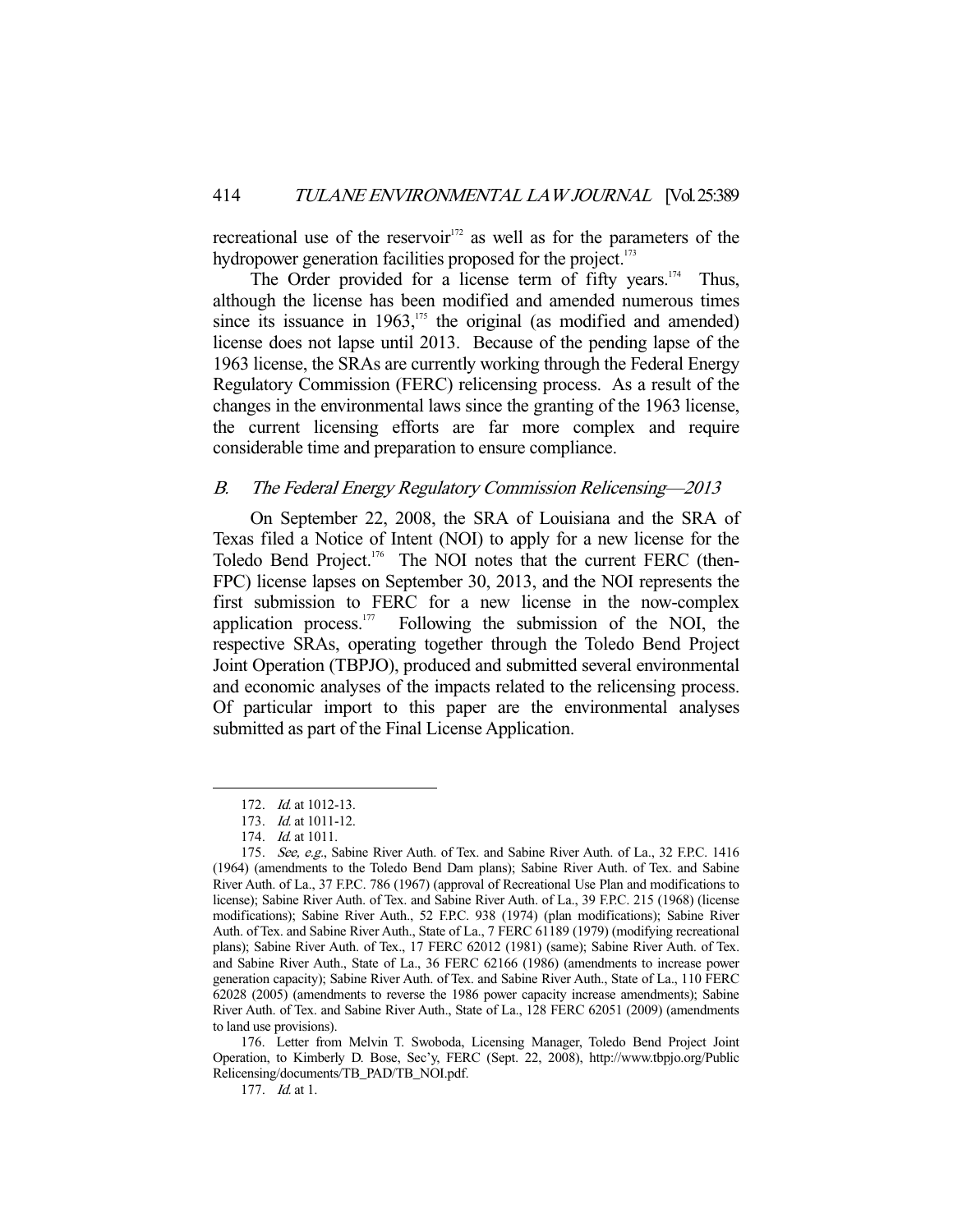recreational use of the reservoir<sup>172</sup> as well as for the parameters of the hydropower generation facilities proposed for the project.<sup>173</sup>

The Order provided for a license term of fifty years.<sup>174</sup> Thus, although the license has been modified and amended numerous times since its issuance in  $1963$ ,<sup>175</sup>, the original (as modified and amended) license does not lapse until 2013. Because of the pending lapse of the 1963 license, the SRAs are currently working through the Federal Energy Regulatory Commission (FERC) relicensing process. As a result of the changes in the environmental laws since the granting of the 1963 license, the current licensing efforts are far more complex and require considerable time and preparation to ensure compliance.

## B. The Federal Energy Regulatory Commission Relicensing—2013

 On September 22, 2008, the SRA of Louisiana and the SRA of Texas filed a Notice of Intent (NOI) to apply for a new license for the Toledo Bend Project.<sup>176</sup> The NOI notes that the current FERC (then-FPC) license lapses on September 30, 2013, and the NOI represents the first submission to FERC for a new license in the now-complex application process. $177$  Following the submission of the NOI, the respective SRAs, operating together through the Toledo Bend Project Joint Operation (TBPJO), produced and submitted several environmental and economic analyses of the impacts related to the relicensing process. Of particular import to this paper are the environmental analyses submitted as part of the Final License Application.

-

 176. Letter from Melvin T. Swoboda, Licensing Manager, Toledo Bend Project Joint Operation, to Kimberly D. Bose, Sec'y, FERC (Sept. 22, 2008), http://www.tbpjo.org/Public Relicensing/documents/TB\_PAD/TB\_NOI.pdf.

177. Id. at 1.

 <sup>172.</sup> Id. at 1012-13.

 <sup>173.</sup> Id. at 1011-12.

<sup>174.</sup> *Id.* at 1011.

<sup>175.</sup> See, e.g., Sabine River Auth. of Tex. and Sabine River Auth. of La., 32 F.P.C. 1416 (1964) (amendments to the Toledo Bend Dam plans); Sabine River Auth. of Tex. and Sabine River Auth. of La., 37 F.P.C. 786 (1967) (approval of Recreational Use Plan and modifications to license); Sabine River Auth. of Tex. and Sabine River Auth. of La., 39 F.P.C. 215 (1968) (license modifications); Sabine River Auth., 52 F.P.C. 938 (1974) (plan modifications); Sabine River Auth. of Tex. and Sabine River Auth., State of La., 7 FERC 61189 (1979) (modifying recreational plans); Sabine River Auth. of Tex., 17 FERC 62012 (1981) (same); Sabine River Auth. of Tex. and Sabine River Auth., State of La., 36 FERC 62166 (1986) (amendments to increase power generation capacity); Sabine River Auth. of Tex. and Sabine River Auth., State of La., 110 FERC 62028 (2005) (amendments to reverse the 1986 power capacity increase amendments); Sabine River Auth. of Tex. and Sabine River Auth., State of La., 128 FERC 62051 (2009) (amendments to land use provisions).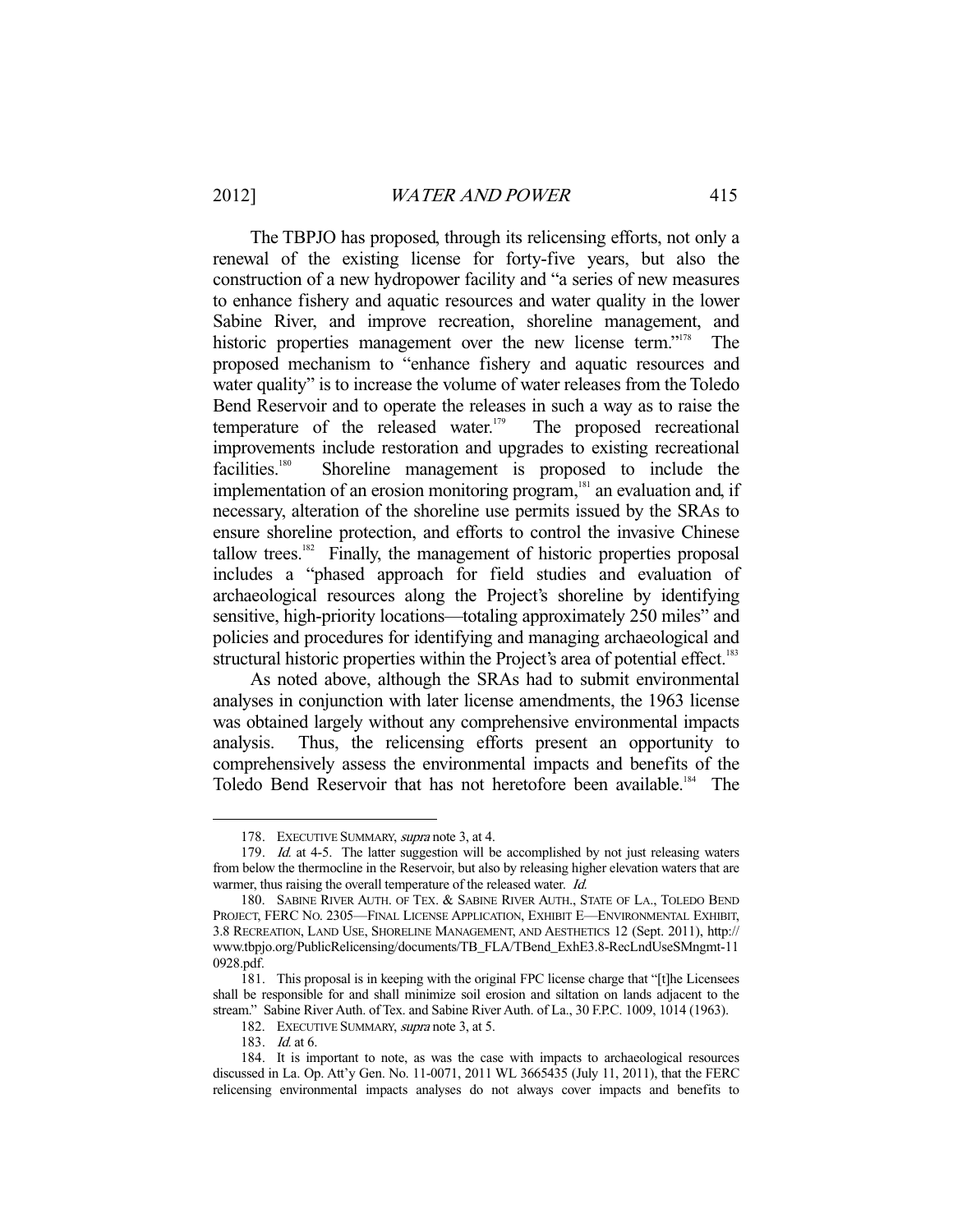The TBPJO has proposed, through its relicensing efforts, not only a renewal of the existing license for forty-five years, but also the construction of a new hydropower facility and "a series of new measures to enhance fishery and aquatic resources and water quality in the lower Sabine River, and improve recreation, shoreline management, and historic properties management over the new license term."<sup>178</sup> The proposed mechanism to "enhance fishery and aquatic resources and water quality" is to increase the volume of water releases from the Toledo Bend Reservoir and to operate the releases in such a way as to raise the temperature of the released water.<sup>179</sup> The proposed recreational improvements include restoration and upgrades to existing recreational facilities.<sup>180</sup> Shoreline management is proposed to include the implementation of an erosion monitoring program, $\frac{181}{181}$  an evaluation and, if necessary, alteration of the shoreline use permits issued by the SRAs to ensure shoreline protection, and efforts to control the invasive Chinese  $t$ allow trees.<sup>182</sup> Finally, the management of historic properties proposal includes a "phased approach for field studies and evaluation of archaeological resources along the Project's shoreline by identifying sensitive, high-priority locations—totaling approximately 250 miles" and policies and procedures for identifying and managing archaeological and structural historic properties within the Project's area of potential effect.<sup>183</sup>

 As noted above, although the SRAs had to submit environmental analyses in conjunction with later license amendments, the 1963 license was obtained largely without any comprehensive environmental impacts analysis. Thus, the relicensing efforts present an opportunity to comprehensively assess the environmental impacts and benefits of the Toledo Bend Reservoir that has not heretofore been available.<sup>184</sup> The

<sup>178.</sup> EXECUTIVE SUMMARY, supra note 3, at 4.

<sup>179.</sup> Id. at 4-5. The latter suggestion will be accomplished by not just releasing waters from below the thermocline in the Reservoir, but also by releasing higher elevation waters that are warmer, thus raising the overall temperature of the released water. *Id.* 

 <sup>180.</sup> SABINE RIVER AUTH. OF TEX. & SABINE RIVER AUTH., STATE OF LA., TOLEDO BEND PROJECT, FERC NO. 2305—FINAL LICENSE APPLICATION, EXHIBIT E—ENVIRONMENTAL EXHIBIT, 3.8 RECREATION, LAND USE, SHORELINE MANAGEMENT, AND AESTHETICS 12 (Sept. 2011), http:// www.tbpjo.org/PublicRelicensing/documents/TB\_FLA/TBend\_ExhE3.8-RecLndUseSMngmt-11 0928.pdf.

 <sup>181.</sup> This proposal is in keeping with the original FPC license charge that "[t]he Licensees shall be responsible for and shall minimize soil erosion and siltation on lands adjacent to the stream." Sabine River Auth. of Tex. and Sabine River Auth. of La., 30 F.P.C. 1009, 1014 (1963).

<sup>182.</sup> EXECUTIVE SUMMARY, supra note 3, at 5.

 <sup>183.</sup> Id. at 6.

 <sup>184.</sup> It is important to note, as was the case with impacts to archaeological resources discussed in La. Op. Att'y Gen. No. 11-0071, 2011 WL 3665435 (July 11, 2011), that the FERC relicensing environmental impacts analyses do not always cover impacts and benefits to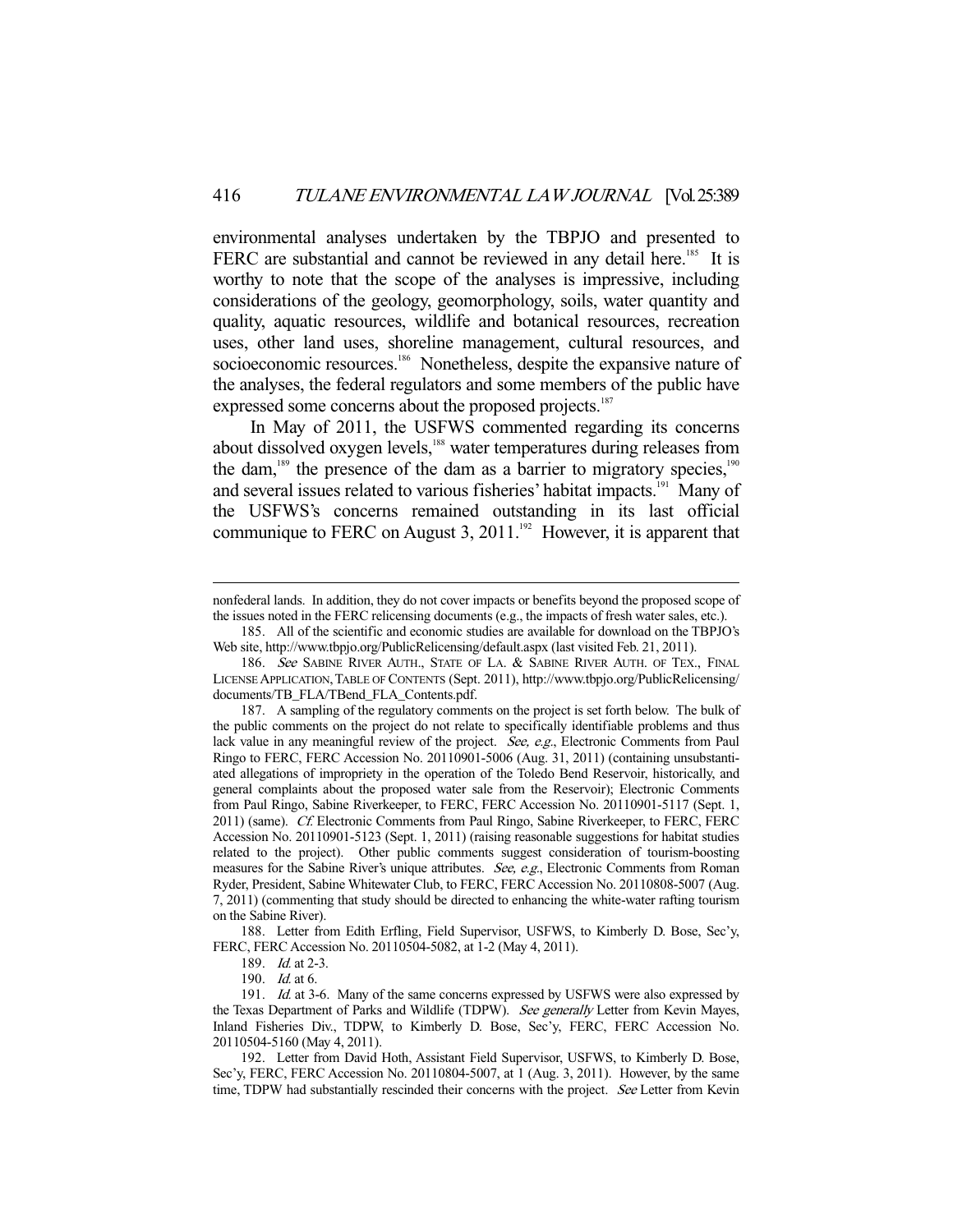environmental analyses undertaken by the TBPJO and presented to FERC are substantial and cannot be reviewed in any detail here.<sup>185</sup> It is worthy to note that the scope of the analyses is impressive, including considerations of the geology, geomorphology, soils, water quantity and quality, aquatic resources, wildlife and botanical resources, recreation uses, other land uses, shoreline management, cultural resources, and socioeconomic resources.<sup>186</sup> Nonetheless, despite the expansive nature of the analyses, the federal regulators and some members of the public have expressed some concerns about the proposed projects.<sup>187</sup>

 In May of 2011, the USFWS commented regarding its concerns about dissolved oxygen levels,<sup>188</sup> water temperatures during releases from the dam,<sup>189</sup> the presence of the dam as a barrier to migratory species,<sup>190</sup> and several issues related to various fisheries' habitat impacts.<sup>191</sup> Many of the USFWS's concerns remained outstanding in its last official communique to FERC on August 3, 2011.<sup>192</sup> However, it is apparent that

 188. Letter from Edith Erfling, Field Supervisor, USFWS, to Kimberly D. Bose, Sec'y, FERC, FERC Accession No. 20110504-5082, at 1-2 (May 4, 2011).

nonfederal lands. In addition, they do not cover impacts or benefits beyond the proposed scope of the issues noted in the FERC relicensing documents (e.g., the impacts of fresh water sales, etc.).

 <sup>185.</sup> All of the scientific and economic studies are available for download on the TBPJO's Web site, http://www.tbpjo.org/PublicRelicensing/default.aspx (last visited Feb. 21, 2011).

<sup>186.</sup> See SABINE RIVER AUTH., STATE OF LA. & SABINE RIVER AUTH. OF TEX., FINAL LICENSE APPLICATION,TABLE OF CONTENTS (Sept. 2011), http://www.tbpjo.org/PublicRelicensing/ documents/TB\_FLA/TBend\_FLA\_Contents.pdf.

 <sup>187.</sup> A sampling of the regulatory comments on the project is set forth below. The bulk of the public comments on the project do not relate to specifically identifiable problems and thus lack value in any meaningful review of the project. See, e.g., Electronic Comments from Paul Ringo to FERC, FERC Accession No. 20110901-5006 (Aug. 31, 2011) (containing unsubstantiated allegations of impropriety in the operation of the Toledo Bend Reservoir, historically, and general complaints about the proposed water sale from the Reservoir); Electronic Comments from Paul Ringo, Sabine Riverkeeper, to FERC, FERC Accession No. 20110901-5117 (Sept. 1, 2011) (same). Cf. Electronic Comments from Paul Ringo, Sabine Riverkeeper, to FERC, FERC Accession No. 20110901-5123 (Sept. 1, 2011) (raising reasonable suggestions for habitat studies related to the project). Other public comments suggest consideration of tourism-boosting measures for the Sabine River's unique attributes. See, e.g., Electronic Comments from Roman Ryder, President, Sabine Whitewater Club, to FERC, FERC Accession No. 20110808-5007 (Aug. 7, 2011) (commenting that study should be directed to enhancing the white-water rafting tourism on the Sabine River).

<sup>189.</sup> *Id.* at 2-3.

 <sup>190.</sup> Id. at 6.

<sup>191.</sup> Id. at 3-6. Many of the same concerns expressed by USFWS were also expressed by the Texas Department of Parks and Wildlife (TDPW). See generally Letter from Kevin Mayes, Inland Fisheries Div., TDPW, to Kimberly D. Bose, Sec'y, FERC, FERC Accession No. 20110504-5160 (May 4, 2011).

 <sup>192.</sup> Letter from David Hoth, Assistant Field Supervisor, USFWS, to Kimberly D. Bose, Sec'y, FERC, FERC Accession No. 20110804-5007, at 1 (Aug. 3, 2011). However, by the same time, TDPW had substantially rescinded their concerns with the project. See Letter from Kevin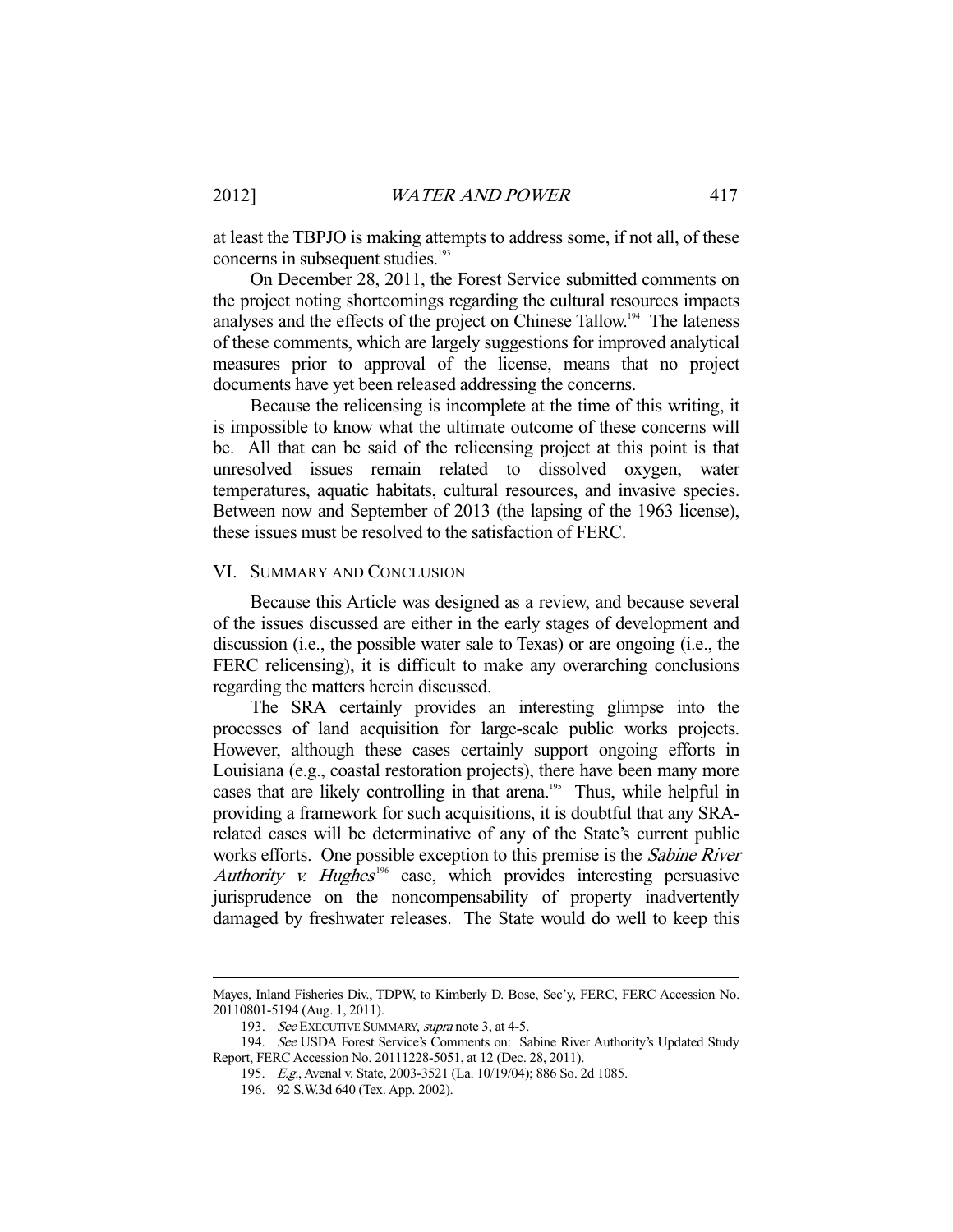at least the TBPJO is making attempts to address some, if not all, of these concerns in subsequent studies.<sup>193</sup>

 On December 28, 2011, the Forest Service submitted comments on the project noting shortcomings regarding the cultural resources impacts analyses and the effects of the project on Chinese Tallow.<sup>194</sup> The lateness of these comments, which are largely suggestions for improved analytical measures prior to approval of the license, means that no project documents have yet been released addressing the concerns.

 Because the relicensing is incomplete at the time of this writing, it is impossible to know what the ultimate outcome of these concerns will be. All that can be said of the relicensing project at this point is that unresolved issues remain related to dissolved oxygen, water temperatures, aquatic habitats, cultural resources, and invasive species. Between now and September of 2013 (the lapsing of the 1963 license), these issues must be resolved to the satisfaction of FERC.

#### VI. SUMMARY AND CONCLUSION

 Because this Article was designed as a review, and because several of the issues discussed are either in the early stages of development and discussion (i.e., the possible water sale to Texas) or are ongoing (i.e., the FERC relicensing), it is difficult to make any overarching conclusions regarding the matters herein discussed.

 The SRA certainly provides an interesting glimpse into the processes of land acquisition for large-scale public works projects. However, although these cases certainly support ongoing efforts in Louisiana (e.g., coastal restoration projects), there have been many more cases that are likely controlling in that arena.<sup>195</sup> Thus, while helpful in providing a framework for such acquisitions, it is doubtful that any SRArelated cases will be determinative of any of the State's current public works efforts. One possible exception to this premise is the Sabine River Authority v. Hughes<sup>196</sup> case, which provides interesting persuasive jurisprudence on the noncompensability of property inadvertently damaged by freshwater releases. The State would do well to keep this

Mayes, Inland Fisheries Div., TDPW, to Kimberly D. Bose, Sec'y, FERC, FERC Accession No. 20110801-5194 (Aug. 1, 2011).

<sup>193.</sup> See EXECUTIVE SUMMARY, supra note 3, at 4-5.

<sup>194.</sup> See USDA Forest Service's Comments on: Sabine River Authority's Updated Study Report, FERC Accession No. 20111228-5051, at 12 (Dec. 28, 2011).

 <sup>195.</sup> E.g., Avenal v. State, 2003-3521 (La. 10/19/04); 886 So. 2d 1085.

 <sup>196. 92</sup> S.W.3d 640 (Tex. App. 2002).